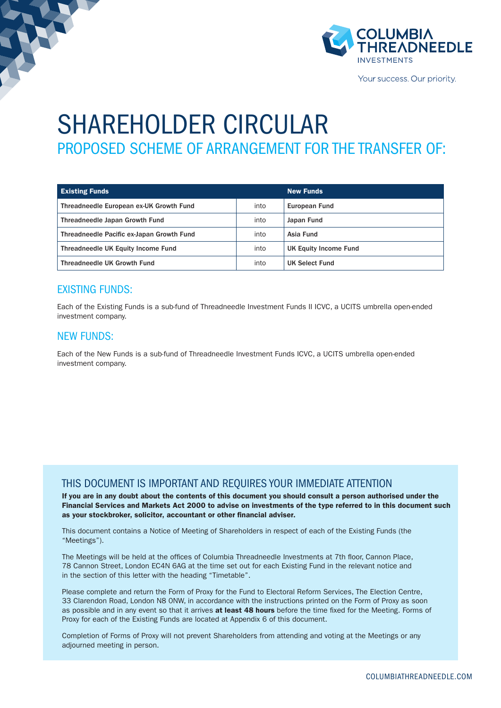

Your success. Our priority.

## SHAREHOLDER CIRCULAR PROPOSED SCHEME OF ARRANGEMENT FOR THE TRANSFER OF:

| <b>Existing Funds</b>                     |      | <b>New Funds</b>      |
|-------------------------------------------|------|-----------------------|
| Threadneedle European ex-UK Growth Fund   | into | European Fund         |
| Threadneedle Japan Growth Fund            | into | Japan Fund            |
| Threadneedle Pacific ex-Japan Growth Fund | into | Asia Fund             |
| Threadneedle UK Equity Income Fund        | into | UK Equity Income Fund |
| Threadneedle UK Growth Fund               | into | UK Select Fund        |

#### EXISTING FUNDS:

Each of the Existing Funds is a sub-fund of Threadneedle Investment Funds II ICVC, a UCITS umbrella open-ended investment company.

#### NEW FUNDS:

Each of the New Funds is a sub-fund of Threadneedle Investment Funds ICVC, a UCITS umbrella open-ended investment company.

#### THIS DOCUMENT IS IMPORTANT AND REQUIRES YOUR IMMEDIATE ATTENTION

If you are in any doubt about the contents of this document you should consult a person authorised under the Financial Services and Markets Act 2000 to advise on investments of the type referred to in this document such as your stockbroker, solicitor, accountant or other financial adviser.

This document contains a Notice of Meeting of Shareholders in respect of each of the Existing Funds (the "Meetings").

The Meetings will be held at the offices of Columbia Threadneedle Investments at 7th floor, Cannon Place, 78 Cannon Street, London EC4N 6AG at the time set out for each Existing Fund in the relevant notice and in the section of this letter with the heading "Timetable".

Please complete and return the Form of Proxy for the Fund to Electoral Reform Services, The Election Centre, 33 Clarendon Road, London N8 0NW, in accordance with the instructions printed on the Form of Proxy as soon as possible and in any event so that it arrives at least 48 hours before the time fixed for the Meeting. Forms of Proxy for each of the Existing Funds are located at Appendix 6 of this document.

Completion of Forms of Proxy will not prevent Shareholders from attending and voting at the Meetings or any adiourned meeting in person.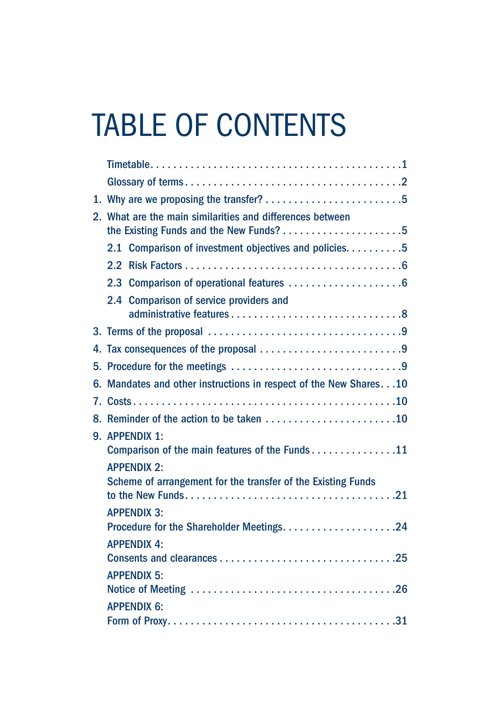# TABLE OF CONTENTS

|    | 2. What are the main similarities and differences between        |
|----|------------------------------------------------------------------|
|    | 2.1 Comparison of investment objectives and policies. 5          |
|    |                                                                  |
|    |                                                                  |
|    | 2.4 Comparison of service providers and                          |
|    |                                                                  |
|    |                                                                  |
|    |                                                                  |
| 6. | Mandates and other instructions in respect of the New Shares. 10 |
|    |                                                                  |
| 8. |                                                                  |
|    | 9. APPENDIX 1:<br>Comparison of the main features of the Funds11 |
|    | <b>APPENDIX 2:</b>                                               |
|    | Scheme of arrangement for the transfer of the Existing Funds     |
|    | <b>APPENDIX 3:</b>                                               |
|    | <b>APPENDIX 4:</b>                                               |
|    | <b>APPENDIX 5:</b>                                               |
|    | <b>APPENDIX 6:</b>                                               |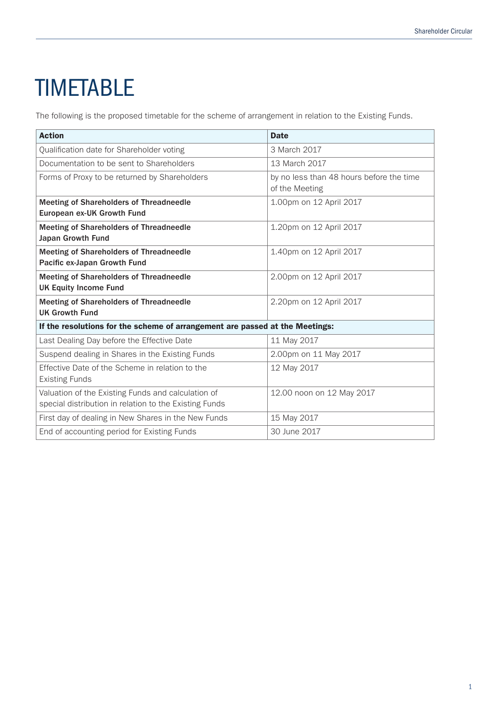# **TIMETABLE**

The following is the proposed timetable for the scheme of arrangement in relation to the Existing Funds.

| <b>Action</b>                                                                                                | <b>Date</b>                                                |
|--------------------------------------------------------------------------------------------------------------|------------------------------------------------------------|
| Qualification date for Shareholder voting                                                                    | 3 March 2017                                               |
| Documentation to be sent to Shareholders                                                                     | 13 March 2017                                              |
| Forms of Proxy to be returned by Shareholders                                                                | by no less than 48 hours before the time<br>of the Meeting |
| <b>Meeting of Shareholders of Threadneedle</b><br>European ex-UK Growth Fund                                 | 1.00pm on 12 April 2017                                    |
| <b>Meeting of Shareholders of Threadneedle</b><br><b>Japan Growth Fund</b>                                   | 1.20pm on 12 April 2017                                    |
| <b>Meeting of Shareholders of Threadneedle</b><br>Pacific ex-Japan Growth Fund                               | 1.40pm on 12 April 2017                                    |
| <b>Meeting of Shareholders of Threadneedle</b><br><b>UK Equity Income Fund</b>                               | 2.00pm on 12 April 2017                                    |
| <b>Meeting of Shareholders of Threadneedle</b><br><b>UK Growth Fund</b>                                      | 2.20pm on 12 April 2017                                    |
| If the resolutions for the scheme of arrangement are passed at the Meetings:                                 |                                                            |
| Last Dealing Day before the Effective Date                                                                   | 11 May 2017                                                |
| Suspend dealing in Shares in the Existing Funds                                                              | 2.00pm on 11 May 2017                                      |
| Effective Date of the Scheme in relation to the<br><b>Existing Funds</b>                                     | 12 May 2017                                                |
| Valuation of the Existing Funds and calculation of<br>special distribution in relation to the Existing Funds | 12.00 noon on 12 May 2017                                  |
| First day of dealing in New Shares in the New Funds                                                          | 15 May 2017                                                |
| End of accounting period for Existing Funds                                                                  | 30 June 2017                                               |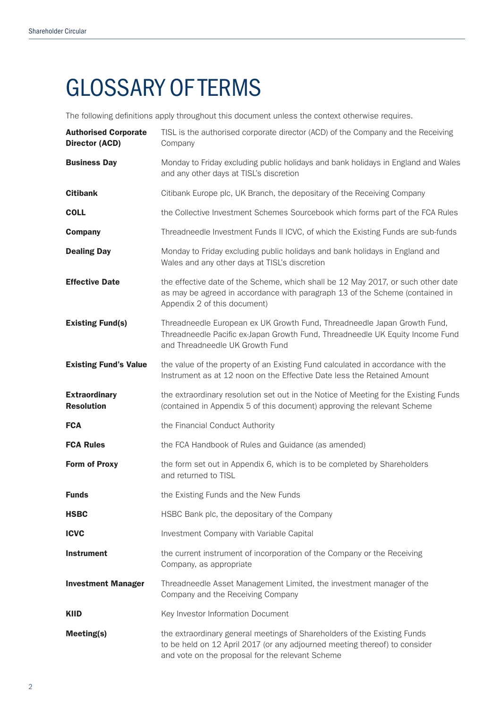# GLOSSARY OF TERMS

The following definitions apply throughout this document unless the context otherwise requires.

| <b>Authorised Corporate</b><br><b>Director (ACD)</b> | TISL is the authorised corporate director (ACD) of the Company and the Receiving<br>Company                                                                                                                |
|------------------------------------------------------|------------------------------------------------------------------------------------------------------------------------------------------------------------------------------------------------------------|
| <b>Business Day</b>                                  | Monday to Friday excluding public holidays and bank holidays in England and Wales<br>and any other days at TISL's discretion                                                                               |
| <b>Citibank</b>                                      | Citibank Europe plc, UK Branch, the depositary of the Receiving Company                                                                                                                                    |
| <b>COLL</b>                                          | the Collective Investment Schemes Sourcebook which forms part of the FCA Rules                                                                                                                             |
| <b>Company</b>                                       | Threadneedle Investment Funds II ICVC, of which the Existing Funds are sub-funds                                                                                                                           |
| <b>Dealing Day</b>                                   | Monday to Friday excluding public holidays and bank holidays in England and<br>Wales and any other days at TISL's discretion                                                                               |
| <b>Effective Date</b>                                | the effective date of the Scheme, which shall be 12 May 2017, or such other date<br>as may be agreed in accordance with paragraph 13 of the Scheme (contained in<br>Appendix 2 of this document)           |
| <b>Existing Fund(s)</b>                              | Threadneedle European ex UK Growth Fund, Threadneedle Japan Growth Fund,<br>Threadneedle Pacific ex-Japan Growth Fund, Threadneedle UK Equity Income Fund<br>and Threadneedle UK Growth Fund               |
| <b>Existing Fund's Value</b>                         | the value of the property of an Existing Fund calculated in accordance with the<br>Instrument as at 12 noon on the Effective Date less the Retained Amount                                                 |
| <b>Extraordinary</b><br><b>Resolution</b>            | the extraordinary resolution set out in the Notice of Meeting for the Existing Funds<br>(contained in Appendix 5 of this document) approving the relevant Scheme                                           |
| <b>FCA</b>                                           | the Financial Conduct Authority                                                                                                                                                                            |
| <b>FCA Rules</b>                                     | the FCA Handbook of Rules and Guidance (as amended)                                                                                                                                                        |
| <b>Form of Proxy</b>                                 | the form set out in Appendix 6, which is to be completed by Shareholders<br>and returned to TISL                                                                                                           |
| <b>Funds</b>                                         | the Existing Funds and the New Funds                                                                                                                                                                       |
| <b>HSBC</b>                                          | HSBC Bank plc, the depositary of the Company                                                                                                                                                               |
| <b>ICVC</b>                                          | Investment Company with Variable Capital                                                                                                                                                                   |
| <b>Instrument</b>                                    | the current instrument of incorporation of the Company or the Receiving<br>Company, as appropriate                                                                                                         |
| <b>Investment Manager</b>                            | Threadneedle Asset Management Limited, the investment manager of the<br>Company and the Receiving Company                                                                                                  |
| <b>KIID</b>                                          | Key Investor Information Document                                                                                                                                                                          |
| Meeting(s)                                           | the extraordinary general meetings of Shareholders of the Existing Funds<br>to be held on 12 April 2017 (or any adjourned meeting thereof) to consider<br>and vote on the proposal for the relevant Scheme |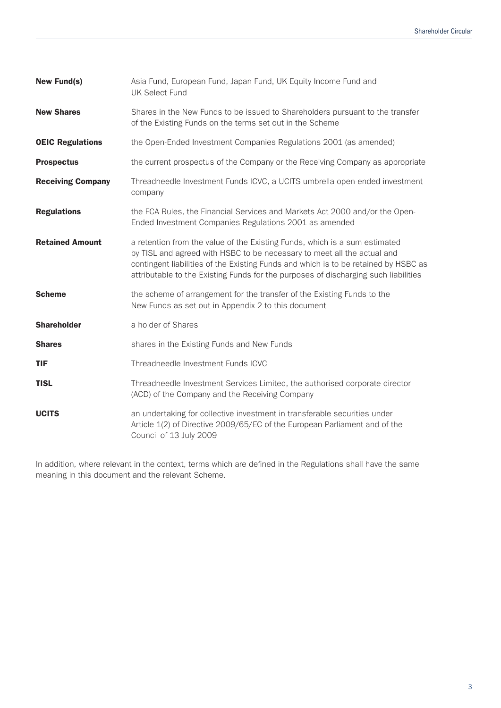| <b>New Fund(s)</b>       | Asia Fund, European Fund, Japan Fund, UK Equity Income Fund and<br><b>UK Select Fund</b>                                                                                                                                                                                                                                            |
|--------------------------|-------------------------------------------------------------------------------------------------------------------------------------------------------------------------------------------------------------------------------------------------------------------------------------------------------------------------------------|
| <b>New Shares</b>        | Shares in the New Funds to be issued to Shareholders pursuant to the transfer<br>of the Existing Funds on the terms set out in the Scheme                                                                                                                                                                                           |
| <b>OEIC Regulations</b>  | the Open-Ended Investment Companies Regulations 2001 (as amended)                                                                                                                                                                                                                                                                   |
| <b>Prospectus</b>        | the current prospectus of the Company or the Receiving Company as appropriate                                                                                                                                                                                                                                                       |
| <b>Receiving Company</b> | Threadneedle Investment Funds ICVC, a UCITS umbrella open-ended investment<br>company                                                                                                                                                                                                                                               |
| <b>Regulations</b>       | the FCA Rules, the Financial Services and Markets Act 2000 and/or the Open-<br>Ended Investment Companies Regulations 2001 as amended                                                                                                                                                                                               |
| <b>Retained Amount</b>   | a retention from the value of the Existing Funds, which is a sum estimated<br>by TISL and agreed with HSBC to be necessary to meet all the actual and<br>contingent liabilities of the Existing Funds and which is to be retained by HSBC as<br>attributable to the Existing Funds for the purposes of discharging such liabilities |
| <b>Scheme</b>            | the scheme of arrangement for the transfer of the Existing Funds to the<br>New Funds as set out in Appendix 2 to this document                                                                                                                                                                                                      |
| <b>Shareholder</b>       | a holder of Shares                                                                                                                                                                                                                                                                                                                  |
| <b>Shares</b>            | shares in the Existing Funds and New Funds                                                                                                                                                                                                                                                                                          |
| <b>TIF</b>               | Threadneedle Investment Funds ICVC                                                                                                                                                                                                                                                                                                  |
| <b>TISL</b>              | Threadneedle Investment Services Limited, the authorised corporate director<br>(ACD) of the Company and the Receiving Company                                                                                                                                                                                                       |
| <b>UCITS</b>             | an undertaking for collective investment in transferable securities under<br>Article 1(2) of Directive 2009/65/EC of the European Parliament and of the<br>Council of 13 July 2009                                                                                                                                                  |

In addition, where relevant in the context, terms which are defined in the Regulations shall have the same meaning in this document and the relevant Scheme.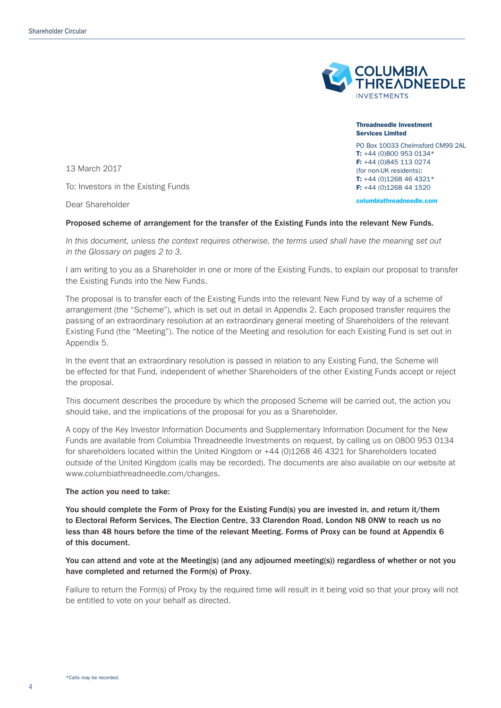

Threadneedle Investment Services Limited PO Box 10033 Chelmsford CM99 2AL T: +44 (0)800 953 0134\* F: +44 (0)845 113 0274 (for non-UK residents): T: +44 (0)1268 46 4321\* F: +44 (0)1268 44 1520 columbiathreadneedle.com

13 March 2017

To: Investors in the Existing Funds

Dear Shareholder

#### Proposed scheme of arrangement for the transfer of the Existing Funds into the relevant New Funds.

*In this document, unless the context requires otherwise, the terms used shall have the meaning set out in the Glossary on pages 2 to 3.*

I am writing to you as a Shareholder in one or more of the Existing Funds, to explain our proposal to transfer the Existing Funds into the New Funds.

The proposal is to transfer each of the Existing Funds into the relevant New Fund by way of a scheme of arrangement (the "Scheme"), which is set out in detail in Appendix 2. Each proposed transfer requires the passing of an extraordinary resolution at an extraordinary general meeting of Shareholders of the relevant Existing Fund (the "Meeting"). The notice of the Meeting and resolution for each Existing Fund is set out in Appendix 5.

In the event that an extraordinary resolution is passed in relation to any Existing Fund, the Scheme will be effected for that Fund, independent of whether Shareholders of the other Existing Funds accept or reject the proposal.

This document describes the procedure by which the proposed Scheme will be carried out, the action you should take, and the implications of the proposal for you as a Shareholder.

A copy of the Key Investor Information Documents and Supplementary Information Document for the New Funds are available from Columbia Threadneedle Investments on request, by calling us on 0800 953 0134 for shareholders located within the United Kingdom or +44 (0)1268 46 4321 for Shareholders located outside of the United Kingdom (calls may be recorded). The documents are also available on our website at www.columbiathreadneedle.com/changes.

#### The action you need to take:

You should complete the Form of Proxy for the Existing Fund(s) you are invested in, and return it/them to Electoral Reform Services, The Election Centre, 33 Clarendon Road, London N8 0NW to reach us no less than 48 hours before the time of the relevant Meeting. Forms of Proxy can be found at Appendix 6 of this document.

You can attend and vote at the Meeting(s) (and any adjourned meeting(s)) regardless of whether or not you have completed and returned the Form(s) of Proxy.

Failure to return the Form(s) of Proxy by the required time will result in it being void so that your proxy will not be entitled to vote on your behalf as directed.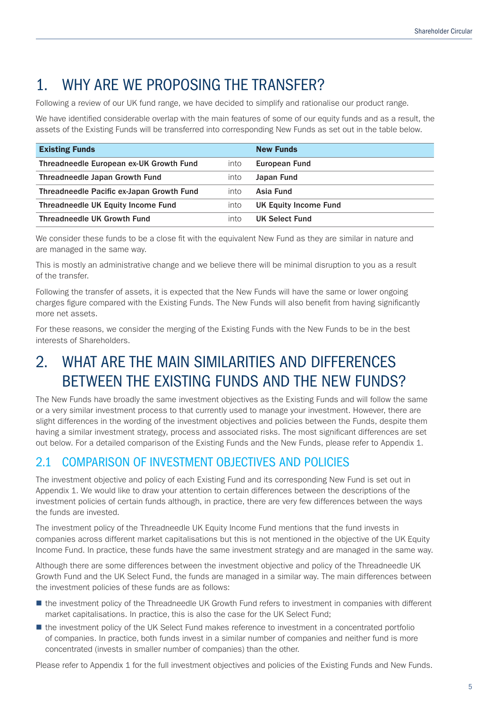## 1. WHY ARE WE PROPOSING THE TRANSFER?

Following a review of our UK fund range, we have decided to simplify and rationalise our product range.

We have identified considerable overlap with the main features of some of our equity funds and as a result, the assets of the Existing Funds will be transferred into corresponding New Funds as set out in the table below.

| <b>Existing Funds</b>                     |      | <b>New Funds</b>      |
|-------------------------------------------|------|-----------------------|
| Threadneedle European ex-UK Growth Fund   | into | European Fund         |
| Threadneedle Japan Growth Fund            | into | Japan Fund            |
| Threadneedle Pacific ex-Japan Growth Fund | into | Asia Fund             |
| Threadneedle UK Equity Income Fund        | into | UK Equity Income Fund |
| <b>Threadneedle UK Growth Fund</b>        | into | UK Select Fund        |

We consider these funds to be a close fit with the equivalent New Fund as they are similar in nature and are managed in the same way.

This is mostly an administrative change and we believe there will be minimal disruption to you as a result of the transfer.

Following the transfer of assets, it is expected that the New Funds will have the same or lower ongoing charges figure compared with the Existing Funds. The New Funds will also benefit from having significantly more net assets.

For these reasons, we consider the merging of the Existing Funds with the New Funds to be in the best interests of Shareholders.

## 2. WHAT ARE THE MAIN SIMILARITIES AND DIFFERENCES BETWEEN THE EXISTING FUNDS AND THE NEW FUNDS?

The New Funds have broadly the same investment objectives as the Existing Funds and will follow the same or a very similar investment process to that currently used to manage your investment. However, there are slight differences in the wording of the investment objectives and policies between the Funds, despite them having a similar investment strategy, process and associated risks. The most significant differences are set out below. For a detailed comparison of the Existing Funds and the New Funds, please refer to Appendix 1.

### 2.1 COMPARISON OF INVESTMENT OBJECTIVES AND POLICIES

The investment objective and policy of each Existing Fund and its corresponding New Fund is set out in Appendix 1. We would like to draw your attention to certain differences between the descriptions of the investment policies of certain funds although, in practice, there are very few differences between the ways the funds are invested.

The investment policy of the Threadneedle UK Equity Income Fund mentions that the fund invests in companies across different market capitalisations but this is not mentioned in the objective of the UK Equity Income Fund. In practice, these funds have the same investment strategy and are managed in the same way.

Although there are some differences between the investment objective and policy of the Threadneedle UK Growth Fund and the UK Select Fund, the funds are managed in a similar way. The main differences between the investment policies of these funds are as follows:

- the investment policy of the Threadneedle UK Growth Fund refers to investment in companies with different market capitalisations. In practice, this is also the case for the UK Select Fund;
- the investment policy of the UK Select Fund makes reference to investment in a concentrated portfolio of companies. In practice, both funds invest in a similar number of companies and neither fund is more concentrated (invests in smaller number of companies) than the other.

Please refer to Appendix 1 for the full investment objectives and policies of the Existing Funds and New Funds.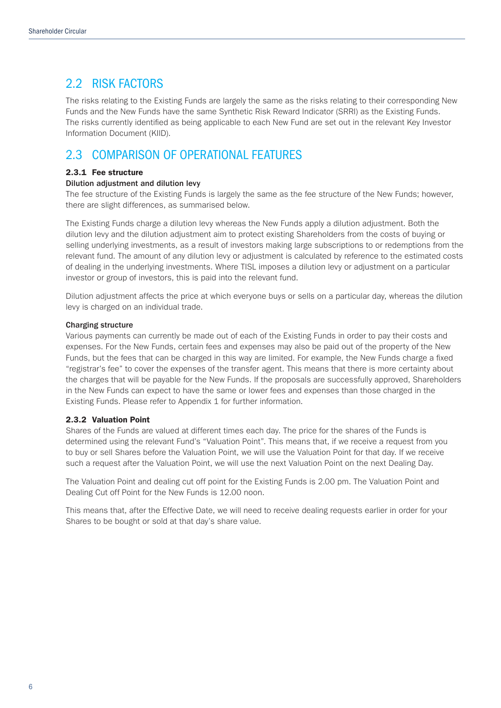### 2.2 RISK FACTORS

The risks relating to the Existing Funds are largely the same as the risks relating to their corresponding New Funds and the New Funds have the same Synthetic Risk Reward Indicator (SRRI) as the Existing Funds. The risks currently identified as being applicable to each New Fund are set out in the relevant Key Investor Information Document (KIID).

### 2.3 COMPARISON OF OPERATIONAL FEATURES

#### 2.3.1 Fee structure

#### Dilution adjustment and dilution levy

The fee structure of the Existing Funds is largely the same as the fee structure of the New Funds; however, there are slight differences, as summarised below.

The Existing Funds charge a dilution levy whereas the New Funds apply a dilution adjustment. Both the dilution levy and the dilution adjustment aim to protect existing Shareholders from the costs of buying or selling underlying investments, as a result of investors making large subscriptions to or redemptions from the relevant fund. The amount of any dilution levy or adjustment is calculated by reference to the estimated costs of dealing in the underlying investments. Where TISL imposes a dilution levy or adjustment on a particular investor or group of investors, this is paid into the relevant fund.

Dilution adjustment affects the price at which everyone buys or sells on a particular day, whereas the dilution levy is charged on an individual trade.

#### Charging structure

Various payments can currently be made out of each of the Existing Funds in order to pay their costs and expenses. For the New Funds, certain fees and expenses may also be paid out of the property of the New Funds, but the fees that can be charged in this way are limited. For example, the New Funds charge a fixed "registrar's fee" to cover the expenses of the transfer agent. This means that there is more certainty about the charges that will be payable for the New Funds. If the proposals are successfully approved, Shareholders in the New Funds can expect to have the same or lower fees and expenses than those charged in the Existing Funds. Please refer to Appendix 1 for further information.

#### 2.3.2 Valuation Point

Shares of the Funds are valued at different times each day. The price for the shares of the Funds is determined using the relevant Fund's "Valuation Point". This means that, if we receive a request from you to buy or sell Shares before the Valuation Point, we will use the Valuation Point for that day. If we receive such a request after the Valuation Point, we will use the next Valuation Point on the next Dealing Day.

The Valuation Point and dealing cut off point for the Existing Funds is 2.00 pm. The Valuation Point and Dealing Cut off Point for the New Funds is 12.00 noon.

This means that, after the Effective Date, we will need to receive dealing requests earlier in order for your Shares to be bought or sold at that day's share value.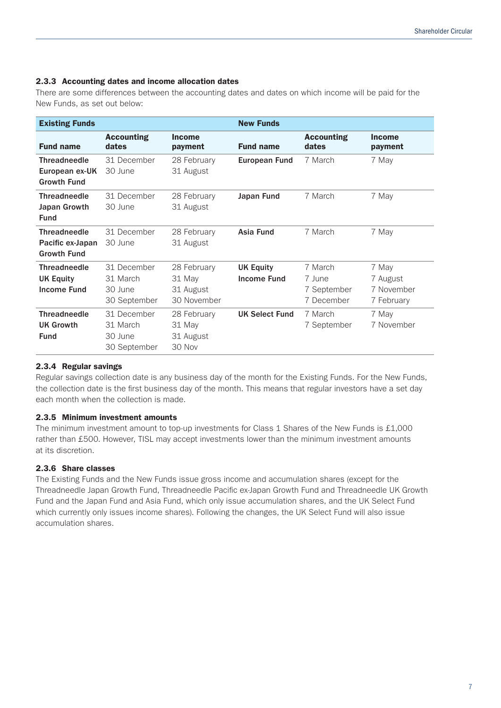#### 2.3.3 Accounting dates and income allocation dates

There are some differences between the accounting dates and dates on which income will be paid for the New Funds, as set out below:

| <b>Existing Funds</b>                                         |                                                    |                                                   | <b>New Funds</b>                       |                                                |                                               |
|---------------------------------------------------------------|----------------------------------------------------|---------------------------------------------------|----------------------------------------|------------------------------------------------|-----------------------------------------------|
| <b>Fund name</b>                                              | <b>Accounting</b><br>dates                         | <b>Income</b><br>payment                          | <b>Fund name</b>                       | <b>Accounting</b><br>dates                     | <b>Income</b><br>payment                      |
| <b>Threadneedle</b><br>European ex-UK<br><b>Growth Fund</b>   | 31 December<br>30 June                             | 28 February<br>31 August                          | <b>European Fund</b>                   | 7 March                                        | 7 May                                         |
| <b>Threadneedle</b><br>Japan Growth<br><b>Fund</b>            | 31 December<br>30 June                             | 28 February<br>31 August                          | Japan Fund                             | 7 March                                        | 7 May                                         |
| <b>Threadneedle</b><br>Pacific ex-Japan<br><b>Growth Fund</b> | 31 December<br>30 June                             | 28 February<br>31 August                          | Asia Fund                              | 7 March                                        | 7 May                                         |
| <b>Threadneedle</b><br><b>UK Equity</b><br><b>Income Fund</b> | 31 December<br>31 March<br>30 June<br>30 September | 28 February<br>31 May<br>31 August<br>30 November | <b>UK Equity</b><br><b>Income Fund</b> | 7 March<br>7 June<br>7 September<br>7 December | 7 May<br>7 August<br>7 November<br>7 February |
| <b>Threadneedle</b><br><b>UK Growth</b><br><b>Fund</b>        | 31 December<br>31 March<br>30 June<br>30 September | 28 February<br>31 May<br>31 August<br>30 Nov      | <b>UK Select Fund</b>                  | 7 March<br>7 September                         | 7 May<br>7 November                           |

#### 2.3.4 Regular savings

Regular savings collection date is any business day of the month for the Existing Funds. For the New Funds, the collection date is the first business day of the month. This means that regular investors have a set day each month when the collection is made.

#### 2.3.5 Minimum investment amounts

The minimum investment amount to top-up investments for Class 1 Shares of the New Funds is £1,000 rather than £500. However, TISL may accept investments lower than the minimum investment amounts at its discretion.

#### 2.3.6 Share classes

The Existing Funds and the New Funds issue gross income and accumulation shares (except for the Threadneedle Japan Growth Fund, Threadneedle Pacific ex-Japan Growth Fund and Threadneedle UK Growth Fund and the Japan Fund and Asia Fund, which only issue accumulation shares, and the UK Select Fund which currently only issues income shares). Following the changes, the UK Select Fund will also issue accumulation shares.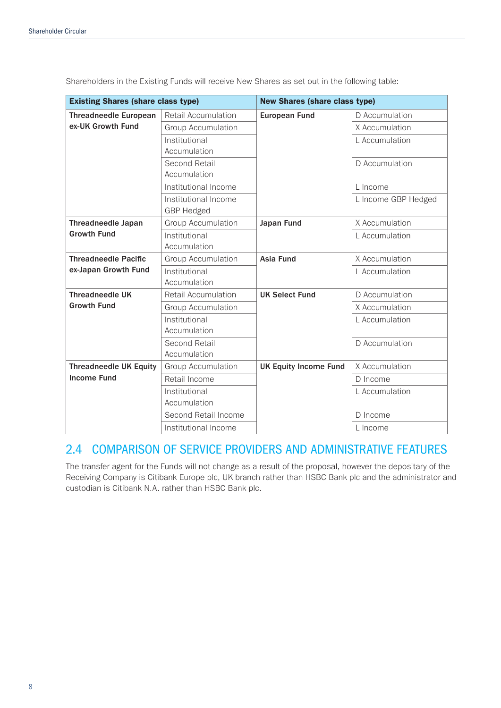| <b>Existing Shares (share class type)</b> |                                           | <b>New Shares (share class type)</b> |                     |  |
|-------------------------------------------|-------------------------------------------|--------------------------------------|---------------------|--|
| <b>Threadneedle European</b>              | <b>Retail Accumulation</b>                | <b>European Fund</b>                 | D Accumulation      |  |
| ex-UK Growth Fund                         | <b>Group Accumulation</b>                 |                                      | X Accumulation      |  |
|                                           | Institutional                             |                                      | L Accumulation      |  |
|                                           | Accumulation                              |                                      |                     |  |
|                                           | Second Retail                             |                                      | D Accumulation      |  |
|                                           | Accumulation                              |                                      |                     |  |
|                                           | Institutional Income                      |                                      | L Income            |  |
|                                           | Institutional Income<br><b>GBP Hedged</b> |                                      | L Income GBP Hedged |  |
| <b>Threadneedle Japan</b>                 | <b>Group Accumulation</b>                 | Japan Fund                           | X Accumulation      |  |
| <b>Growth Fund</b>                        | Institutional                             |                                      | L Accumulation      |  |
|                                           | Accumulation                              |                                      |                     |  |
| <b>Threadneedle Pacific</b>               | <b>Group Accumulation</b>                 | Asia Fund                            | X Accumulation      |  |
| ex-Japan Growth Fund                      | Institutional                             |                                      | L Accumulation      |  |
|                                           | Accumulation                              |                                      |                     |  |
| <b>Threadneedle UK</b>                    | Retail Accumulation                       | <b>UK Select Fund</b>                | D Accumulation      |  |
| <b>Growth Fund</b>                        | <b>Group Accumulation</b>                 |                                      | X Accumulation      |  |
|                                           | Institutional<br>Accumulation             |                                      | L Accumulation      |  |
|                                           | Second Retail<br>Accumulation             |                                      | D Accumulation      |  |
| <b>Threadneedle UK Equity</b>             | <b>Group Accumulation</b>                 | <b>UK Equity Income Fund</b>         | X Accumulation      |  |
| <b>Income Fund</b>                        | Retail Income                             |                                      | D Income            |  |
|                                           | Institutional<br>Accumulation             |                                      | L Accumulation      |  |
|                                           | Second Retail Income                      |                                      | D Income            |  |
|                                           | Institutional Income                      |                                      | L Income            |  |

Shareholders in the Existing Funds will receive New Shares as set out in the following table:

### 2.4 COMPARISON OF SERVICE PROVIDERS AND ADMINISTRATIVE FEATURES

The transfer agent for the Funds will not change as a result of the proposal, however the depositary of the Receiving Company is Citibank Europe plc, UK branch rather than HSBC Bank plc and the administrator and custodian is Citibank N.A. rather than HSBC Bank plc.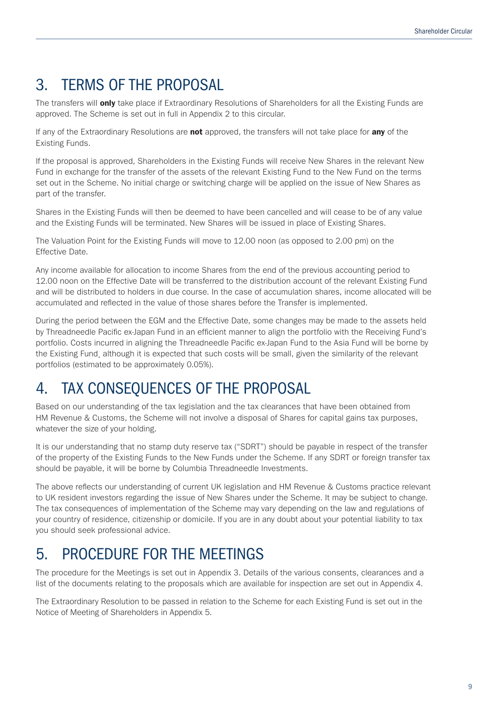## 3. TERMS OF THE PROPOSAL

The transfers will **only** take place if Extraordinary Resolutions of Shareholders for all the Existing Funds are approved. The Scheme is set out in full in Appendix 2 to this circular.

If any of the Extraordinary Resolutions are not approved, the transfers will not take place for any of the Existing Funds.

If the proposal is approved, Shareholders in the Existing Funds will receive New Shares in the relevant New Fund in exchange for the transfer of the assets of the relevant Existing Fund to the New Fund on the terms set out in the Scheme. No initial charge or switching charge will be applied on the issue of New Shares as part of the transfer.

Shares in the Existing Funds will then be deemed to have been cancelled and will cease to be of any value and the Existing Funds will be terminated. New Shares will be issued in place of Existing Shares.

The Valuation Point for the Existing Funds will move to 12.00 noon (as opposed to 2.00 pm) on the Effective Date.

Any income available for allocation to income Shares from the end of the previous accounting period to 12.00 noon on the Effective Date will be transferred to the distribution account of the relevant Existing Fund and will be distributed to holders in due course. In the case of accumulation shares, income allocated will be accumulated and reflected in the value of those shares before the Transfer is implemented.

During the period between the EGM and the Effective Date, some changes may be made to the assets held by Threadneedle Pacific ex-Japan Fund in an efficient manner to align the portfolio with the Receiving Fund's portfolio. Costs incurred in aligning the Threadneedle Pacific ex-Japan Fund to the Asia Fund will be borne by the Existing Fund¸ although it is expected that such costs will be small, given the similarity of the relevant portfolios (estimated to be approximately 0.05%).

### 4. TAX CONSEQUENCES OF THE PROPOSAL

Based on our understanding of the tax legislation and the tax clearances that have been obtained from HM Revenue & Customs, the Scheme will not involve a disposal of Shares for capital gains tax purposes, whatever the size of your holding.

It is our understanding that no stamp duty reserve tax ("SDRT") should be payable in respect of the transfer of the property of the Existing Funds to the New Funds under the Scheme. If any SDRT or foreign transfer tax should be payable, it will be borne by Columbia Threadneedle Investments.

The above reflects our understanding of current UK legislation and HM Revenue & Customs practice relevant to UK resident investors regarding the issue of New Shares under the Scheme. It may be subject to change. The tax consequences of implementation of the Scheme may vary depending on the law and regulations of your country of residence, citizenship or domicile. If you are in any doubt about your potential liability to tax you should seek professional advice.

## 5. PROCEDURE FOR THE MEETINGS

The procedure for the Meetings is set out in Appendix 3. Details of the various consents, clearances and a list of the documents relating to the proposals which are available for inspection are set out in Appendix 4.

The Extraordinary Resolution to be passed in relation to the Scheme for each Existing Fund is set out in the Notice of Meeting of Shareholders in Appendix 5.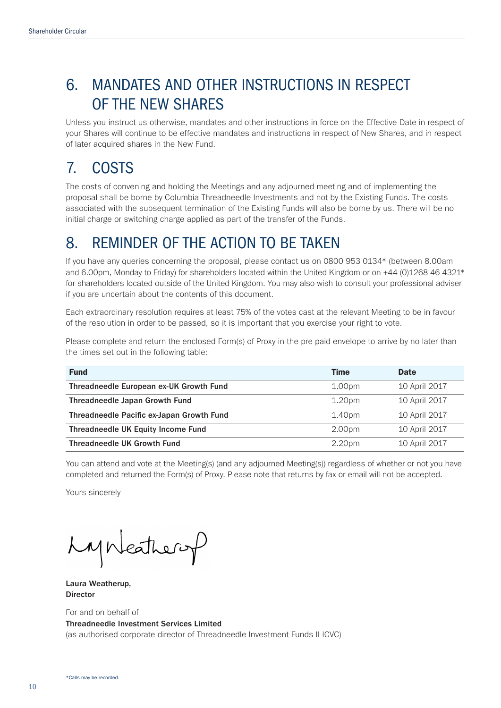## 6. MANDATES AND OTHER INSTRUCTIONS IN RESPECT OF THE NEW SHARES

Unless you instruct us otherwise, mandates and other instructions in force on the Effective Date in respect of your Shares will continue to be effective mandates and instructions in respect of New Shares, and in respect of later acquired shares in the New Fund.

## 7. COSTS

The costs of convening and holding the Meetings and any adjourned meeting and of implementing the proposal shall be borne by Columbia Threadneedle Investments and not by the Existing Funds. The costs associated with the subsequent termination of the Existing Funds will also be borne by us. There will be no initial charge or switching charge applied as part of the transfer of the Funds.

### 8. REMINDER OF THE ACTION TO BE TAKEN

If you have any queries concerning the proposal, please contact us on 0800 953 0134\* (between 8.00am and 6.00pm, Monday to Friday) for shareholders located within the United Kingdom or on +44 (0)1268 46 4321\* for shareholders located outside of the United Kingdom. You may also wish to consult your professional adviser if you are uncertain about the contents of this document.

Each extraordinary resolution requires at least 75% of the votes cast at the relevant Meeting to be in favour of the resolution in order to be passed, so it is important that you exercise your right to vote.

Please complete and return the enclosed Form(s) of Proxy in the pre-paid envelope to arrive by no later than the times set out in the following table:

| <b>Fund</b>                               | <b>Time</b>        | <b>Date</b>   |
|-------------------------------------------|--------------------|---------------|
| Threadneedle European ex-UK Growth Fund   | 1.00 <sub>pm</sub> | 10 April 2017 |
| Threadneedle Japan Growth Fund            | 1.20 <sub>pm</sub> | 10 April 2017 |
| Threadneedle Pacific ex-Japan Growth Fund | 1.40 <sub>pm</sub> | 10 April 2017 |
| Threadneedle UK Equity Income Fund        | 2.00 <sub>pm</sub> | 10 April 2017 |
| <b>Threadneedle UK Growth Fund</b>        | 2.20pm             | 10 April 2017 |

You can attend and vote at the Meeting(s) (and any adjourned Meeting(s)) regardless of whether or not you have completed and returned the Form(s) of Proxy. Please note that returns by fax or email will not be accepted.

Yours sincerely

Lynkathery

Laura Weatherup, Director

For and on behalf of Threadneedle Investment Services Limited (as authorised corporate director of Threadneedle Investment Funds II ICVC)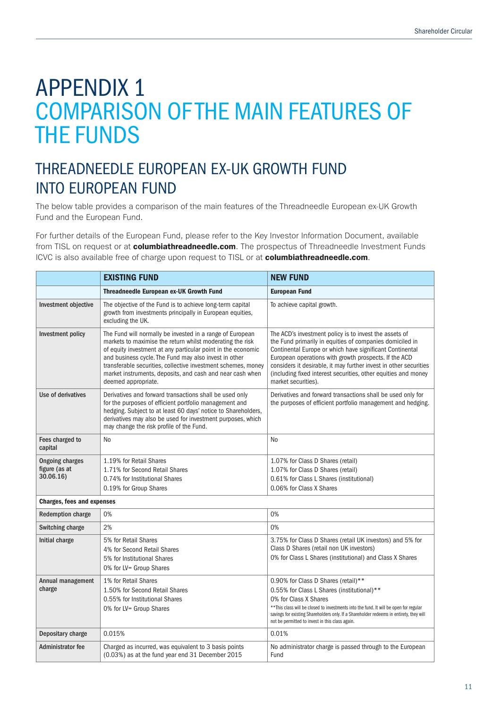# APPENDIX 1 COMPARISON OF THE MAIN FEATURES OF THE FUNDS

## THREADNEEDLE EUROPEAN EX-UK GROWTH FUND INTO EUROPEAN FUND

The below table provides a comparison of the main features of the Threadneedle European ex-UK Growth Fund and the European Fund.

For further details of the European Fund, please refer to the Key Investor Information Document, available from TISL on request or at **columbiathreadneedle.com**. The prospectus of Threadneedle Investment Funds ICVC is also available free of charge upon request to TISL or at columbiathreadneedle.com.

|                                                      | <b>EXISTING FUND</b>                                                                                                                                                                                                                                                                                                                                                                                 | <b>NEW FUND</b>                                                                                                                                                                                                                                                                                                                                                                                       |
|------------------------------------------------------|------------------------------------------------------------------------------------------------------------------------------------------------------------------------------------------------------------------------------------------------------------------------------------------------------------------------------------------------------------------------------------------------------|-------------------------------------------------------------------------------------------------------------------------------------------------------------------------------------------------------------------------------------------------------------------------------------------------------------------------------------------------------------------------------------------------------|
|                                                      | <b>Threadneedle European ex-UK Growth Fund</b>                                                                                                                                                                                                                                                                                                                                                       | <b>European Fund</b>                                                                                                                                                                                                                                                                                                                                                                                  |
| Investment objective                                 | The objective of the Fund is to achieve long-term capital<br>growth from investments principally in European equities,<br>excluding the UK.                                                                                                                                                                                                                                                          | To achieve capital growth.                                                                                                                                                                                                                                                                                                                                                                            |
| Investment policy                                    | The Fund will normally be invested in a range of European<br>markets to maximise the return whilst moderating the risk<br>of equity investment at any particular point in the economic<br>and business cycle. The Fund may also invest in other<br>transferable securities, collective investment schemes, money<br>market instruments, deposits, and cash and near cash when<br>deemed appropriate. | The ACD's investment policy is to invest the assets of<br>the Fund primarily in equities of companies domiciled in<br>Continental Europe or which have significant Continental<br>European operations with growth prospects. If the ACD<br>considers it desirable, it may further invest in other securities<br>(including fixed interest securities, other equities and money<br>market securities). |
| Use of derivatives                                   | Derivatives and forward transactions shall be used only<br>for the purposes of efficient portfolio management and<br>hedging. Subject to at least 60 days' notice to Shareholders,<br>derivatives may also be used for investment purposes, which<br>may change the risk profile of the Fund.                                                                                                        | Derivatives and forward transactions shall be used only for<br>the purposes of efficient portfolio management and hedging.                                                                                                                                                                                                                                                                            |
| Fees charged to<br>capital                           | No                                                                                                                                                                                                                                                                                                                                                                                                   | N <sub>0</sub>                                                                                                                                                                                                                                                                                                                                                                                        |
| <b>Ongoing charges</b><br>figure (as at<br>30.06.16) | 1.19% for Retail Shares<br>1.71% for Second Retail Shares<br>0.74% for Institutional Shares<br>0.19% for Group Shares                                                                                                                                                                                                                                                                                | 1.07% for Class D Shares (retail)<br>1.07% for Class D Shares (retail)<br>0.61% for Class L Shares (institutional)<br>0.06% for Class X Shares                                                                                                                                                                                                                                                        |
| <b>Charges, fees and expenses</b>                    |                                                                                                                                                                                                                                                                                                                                                                                                      |                                                                                                                                                                                                                                                                                                                                                                                                       |
| <b>Redemption charge</b>                             | 0%                                                                                                                                                                                                                                                                                                                                                                                                   | 0%                                                                                                                                                                                                                                                                                                                                                                                                    |
| Switching charge                                     | 2%                                                                                                                                                                                                                                                                                                                                                                                                   | 0%                                                                                                                                                                                                                                                                                                                                                                                                    |
| Initial charge                                       | 5% for Retail Shares<br>4% for Second Retail Shares<br>5% for Institutional Shares<br>0% for LV= Group Shares                                                                                                                                                                                                                                                                                        | 3.75% for Class D Shares (retail UK investors) and 5% for<br>Class D Shares (retail non UK investors)<br>0% for Class L Shares (institutional) and Class X Shares                                                                                                                                                                                                                                     |
| Annual management<br>charge                          | 1% for Retail Shares<br>1.50% for Second Retail Shares<br>0.55% for Institutional Shares<br>0% for LV= Group Shares                                                                                                                                                                                                                                                                                  | 0.90% for Class D Shares (retail)**<br>0.55% for Class L Shares (institutional)**<br>0% for Class X Shares<br>** This class will be closed to investments into the fund. It will be open for regular<br>savings for existing Shareholders only. If a Shareholder redeems in entirety, they will<br>not be permitted to invest in this class again.                                                    |
| Depositary charge                                    | 0.015%                                                                                                                                                                                                                                                                                                                                                                                               | 0.01%                                                                                                                                                                                                                                                                                                                                                                                                 |
| <b>Administrator fee</b>                             | Charged as incurred, was equivalent to 3 basis points<br>(0.03%) as at the fund year end 31 December 2015                                                                                                                                                                                                                                                                                            | No administrator charge is passed through to the European<br>Fund                                                                                                                                                                                                                                                                                                                                     |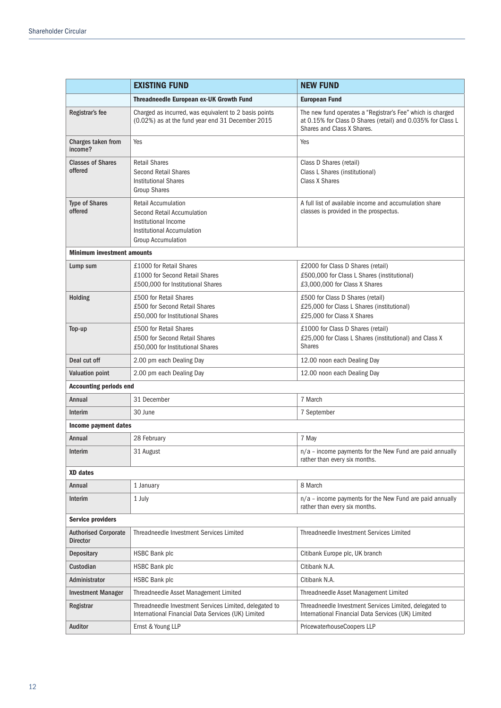|                                                | <b>EXISTING FUND</b>                                                                                                                        | <b>NEW FUND</b>                                                                                                                                         |
|------------------------------------------------|---------------------------------------------------------------------------------------------------------------------------------------------|---------------------------------------------------------------------------------------------------------------------------------------------------------|
|                                                | <b>Threadneedle European ex-UK Growth Fund</b>                                                                                              | <b>European Fund</b>                                                                                                                                    |
| Registrar's fee                                | Charged as incurred, was equivalent to 2 basis points<br>(0.02%) as at the fund year end 31 December 2015                                   | The new fund operates a "Registrar's Fee" which is charged<br>at 0.15% for Class D Shares (retail) and 0.035% for Class L<br>Shares and Class X Shares. |
| Charges taken from<br>income?                  | Yes                                                                                                                                         | Yes                                                                                                                                                     |
| <b>Classes of Shares</b><br>offered            | <b>Retail Shares</b><br><b>Second Retail Shares</b><br><b>Institutional Shares</b><br><b>Group Shares</b>                                   | Class D Shares (retail)<br>Class L Shares (institutional)<br>Class X Shares                                                                             |
| <b>Type of Shares</b><br>offered               | <b>Retail Accumulation</b><br>Second Retail Accumulation<br>Institutional Income<br>Institutional Accumulation<br><b>Group Accumulation</b> | A full list of available income and accumulation share<br>classes is provided in the prospectus.                                                        |
| <b>Minimum investment amounts</b>              |                                                                                                                                             |                                                                                                                                                         |
| Lump sum                                       | £1000 for Retail Shares<br>£1000 for Second Retail Shares<br>£500,000 for Institutional Shares                                              | £2000 for Class D Shares (retail)<br>£500,000 for Class L Shares (institutional)<br>£3,000,000 for Class X Shares                                       |
| Holding                                        | £500 for Retail Shares<br>£500 for Second Retail Shares<br>£50,000 for Institutional Shares                                                 | £500 for Class D Shares (retail)<br>£25,000 for Class L Shares (institutional)<br>£25,000 for Class X Shares                                            |
| Top-up                                         | £500 for Retail Shares<br>£500 for Second Retail Shares<br>£50,000 for Institutional Shares                                                 | £1000 for Class D Shares (retail)<br>£25,000 for Class L Shares (institutional) and Class X<br><b>Shares</b>                                            |
| Deal cut off                                   | 2.00 pm each Dealing Day                                                                                                                    | 12.00 noon each Dealing Day                                                                                                                             |
| <b>Valuation point</b>                         | 2.00 pm each Dealing Day                                                                                                                    | 12.00 noon each Dealing Day                                                                                                                             |
| <b>Accounting periods end</b>                  |                                                                                                                                             |                                                                                                                                                         |
| Annual                                         | 31 December                                                                                                                                 | 7 March                                                                                                                                                 |
| Interim                                        | 30 June                                                                                                                                     | 7 September                                                                                                                                             |
| Income payment dates                           |                                                                                                                                             |                                                                                                                                                         |
| Annual                                         | 28 February                                                                                                                                 | 7 May                                                                                                                                                   |
| Interim                                        | 31 August                                                                                                                                   | n/a - income payments for the New Fund are paid annually<br>rather than every six months.                                                               |
| XD dates                                       |                                                                                                                                             |                                                                                                                                                         |
| Annual                                         | 1 January                                                                                                                                   | 8 March                                                                                                                                                 |
| Interim                                        | 1 July                                                                                                                                      | $n/a$ – income payments for the New Fund are paid annually<br>rather than every six months.                                                             |
| <b>Service providers</b>                       |                                                                                                                                             |                                                                                                                                                         |
| <b>Authorised Corporate</b><br><b>Director</b> | Threadneedle Investment Services Limited                                                                                                    | Threadneedle Investment Services Limited                                                                                                                |
| <b>Depositary</b>                              | <b>HSBC Bank plc</b>                                                                                                                        | Citibank Europe plc, UK branch                                                                                                                          |
| Custodian                                      | HSBC Bank plc                                                                                                                               | Citibank N.A.                                                                                                                                           |
| Administrator                                  | <b>HSBC Bank plc</b>                                                                                                                        | Citibank N.A.                                                                                                                                           |
| Investment Manager                             | Threadneedle Asset Management Limited                                                                                                       | Threadneedle Asset Management Limited                                                                                                                   |
| Registrar                                      | Threadneedle Investment Services Limited, delegated to<br>International Financial Data Services (UK) Limited                                | Threadneedle Investment Services Limited, delegated to<br>International Financial Data Services (UK) Limited                                            |
| Auditor                                        | Ernst & Young LLP                                                                                                                           | PricewaterhouseCoopers LLP                                                                                                                              |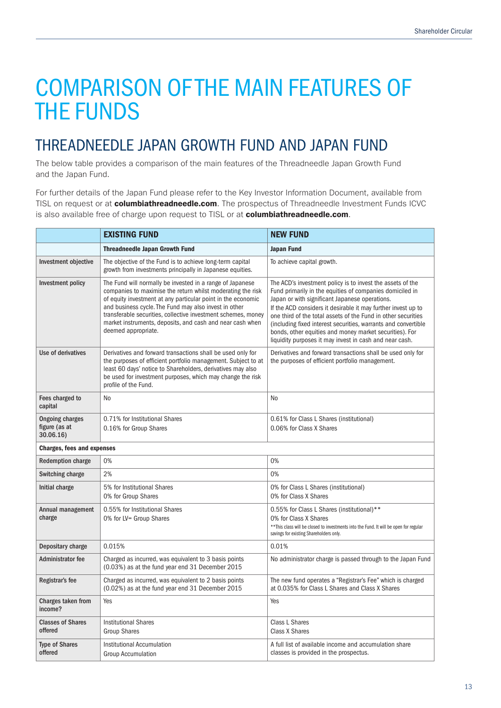## THREADNEEDLE JAPAN GROWTH FUND AND JAPAN FUND

The below table provides a comparison of the main features of the Threadneedle Japan Growth Fund and the Japan Fund.

For further details of the Japan Fund please refer to the Key Investor Information Document, available from TISL on request or at **columbiathreadneedle.com**. The prospectus of Threadneedle Investment Funds ICVC is also available free of charge upon request to TISL or at columbiathreadneedle.com.

|                                                      | <b>EXISTING FUND</b>                                                                                                                                                                                                                                                                                                                                                                                   | <b>NEW FUND</b>                                                                                                                                                                                                                                                                                                                                                                                                                                                                                    |
|------------------------------------------------------|--------------------------------------------------------------------------------------------------------------------------------------------------------------------------------------------------------------------------------------------------------------------------------------------------------------------------------------------------------------------------------------------------------|----------------------------------------------------------------------------------------------------------------------------------------------------------------------------------------------------------------------------------------------------------------------------------------------------------------------------------------------------------------------------------------------------------------------------------------------------------------------------------------------------|
|                                                      | <b>Threadneedle Japan Growth Fund</b>                                                                                                                                                                                                                                                                                                                                                                  | <b>Japan Fund</b>                                                                                                                                                                                                                                                                                                                                                                                                                                                                                  |
| <b>Investment objective</b>                          | The objective of the Fund is to achieve long-term capital<br>growth from investments principally in Japanese equities.                                                                                                                                                                                                                                                                                 | To achieve capital growth.                                                                                                                                                                                                                                                                                                                                                                                                                                                                         |
| Investment policy                                    | The Fund will normally be invested in a range of Japanese<br>companies to maximise the return whilst moderating the risk<br>of equity investment at any particular point in the economic<br>and business cycle. The Fund may also invest in other<br>transferable securities, collective investment schemes, money<br>market instruments, deposits, and cash and near cash when<br>deemed appropriate. | The ACD's investment policy is to invest the assets of the<br>Fund primarily in the equities of companies domiciled in<br>Japan or with significant Japanese operations.<br>If the ACD considers it desirable it may further invest up to<br>one third of the total assets of the Fund in other securities<br>(including fixed interest securities, warrants and convertible<br>bonds, other equities and money market securities). For<br>liquidity purposes it may invest in cash and near cash. |
| Use of derivatives                                   | Derivatives and forward transactions shall be used only for<br>the purposes of efficient portfolio management. Subject to at<br>least 60 days' notice to Shareholders, derivatives may also<br>be used for investment purposes, which may change the risk<br>profile of the Fund.                                                                                                                      | Derivatives and forward transactions shall be used only for<br>the purposes of efficient portfolio management.                                                                                                                                                                                                                                                                                                                                                                                     |
| Fees charged to<br>capital                           | No                                                                                                                                                                                                                                                                                                                                                                                                     | No                                                                                                                                                                                                                                                                                                                                                                                                                                                                                                 |
| <b>Ongoing charges</b><br>figure (as at<br>30.06.16) | 0.71% for Institutional Shares<br>0.16% for Group Shares                                                                                                                                                                                                                                                                                                                                               | 0.61% for Class L Shares (institutional)<br>0.06% for Class X Shares                                                                                                                                                                                                                                                                                                                                                                                                                               |
| <b>Charges, fees and expenses</b>                    |                                                                                                                                                                                                                                                                                                                                                                                                        |                                                                                                                                                                                                                                                                                                                                                                                                                                                                                                    |
| <b>Redemption charge</b>                             | 0%                                                                                                                                                                                                                                                                                                                                                                                                     | 0%                                                                                                                                                                                                                                                                                                                                                                                                                                                                                                 |
| Switching charge                                     | 2%                                                                                                                                                                                                                                                                                                                                                                                                     | 0%                                                                                                                                                                                                                                                                                                                                                                                                                                                                                                 |
| Initial charge                                       | 5% for Institutional Shares<br>0% for Group Shares                                                                                                                                                                                                                                                                                                                                                     | 0% for Class L Shares (institutional)<br>0% for Class X Shares                                                                                                                                                                                                                                                                                                                                                                                                                                     |
| Annual management<br>charge                          | 0.55% for Institutional Shares<br>0% for LV= Group Shares                                                                                                                                                                                                                                                                                                                                              | 0.55% for Class L Shares (institutional)**<br>0% for Class X Shares<br>** This class will be closed to investments into the Fund. It will be open for regular<br>savings for existing Shareholders only.                                                                                                                                                                                                                                                                                           |
| Depositary charge                                    | 0.015%                                                                                                                                                                                                                                                                                                                                                                                                 | 0.01%                                                                                                                                                                                                                                                                                                                                                                                                                                                                                              |
| Administrator fee                                    | Charged as incurred, was equivalent to 3 basis points<br>(0.03%) as at the fund year end 31 December 2015                                                                                                                                                                                                                                                                                              | No administrator charge is passed through to the Japan Fund                                                                                                                                                                                                                                                                                                                                                                                                                                        |
| Registrar's fee                                      | Charged as incurred, was equivalent to 2 basis points<br>(0.02%) as at the fund year end 31 December 2015                                                                                                                                                                                                                                                                                              | The new fund operates a "Registrar's Fee" which is charged<br>at 0.035% for Class L Shares and Class X Shares                                                                                                                                                                                                                                                                                                                                                                                      |
| Charges taken from<br>income?                        | Yes                                                                                                                                                                                                                                                                                                                                                                                                    | Yes                                                                                                                                                                                                                                                                                                                                                                                                                                                                                                |
| <b>Classes of Shares</b><br>offered                  | <b>Institutional Shares</b><br><b>Group Shares</b>                                                                                                                                                                                                                                                                                                                                                     | <b>Class L Shares</b><br>Class X Shares                                                                                                                                                                                                                                                                                                                                                                                                                                                            |
| <b>Type of Shares</b><br>offered                     | Institutional Accumulation<br><b>Group Accumulation</b>                                                                                                                                                                                                                                                                                                                                                | A full list of available income and accumulation share<br>classes is provided in the prospectus.                                                                                                                                                                                                                                                                                                                                                                                                   |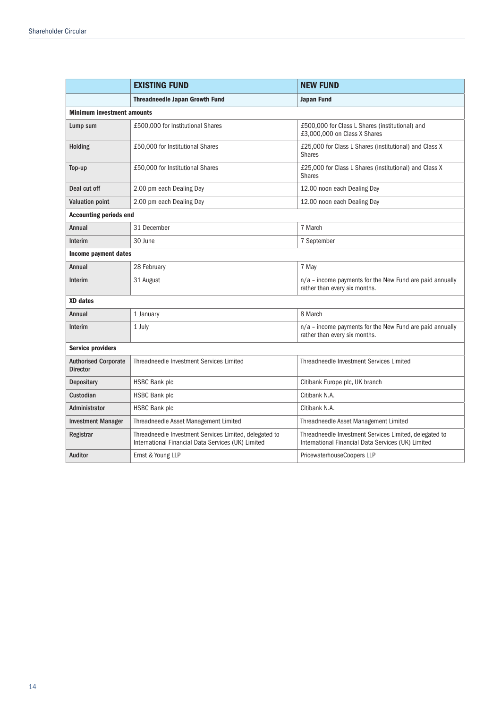|                                                | <b>EXISTING FUND</b>                                                                                         | <b>NEW FUND</b>                                                                                              |  |
|------------------------------------------------|--------------------------------------------------------------------------------------------------------------|--------------------------------------------------------------------------------------------------------------|--|
|                                                | <b>Threadneedle Japan Growth Fund</b>                                                                        | <b>Japan Fund</b>                                                                                            |  |
| <b>Minimum investment amounts</b>              |                                                                                                              |                                                                                                              |  |
| Lump sum                                       | £500,000 for Institutional Shares                                                                            | £500,000 for Class L Shares (institutional) and<br>£3,000,000 on Class X Shares                              |  |
| <b>Holding</b>                                 | £50,000 for Institutional Shares                                                                             | £25,000 for Class L Shares (institutional) and Class X<br><b>Shares</b>                                      |  |
| Top-up                                         | £50,000 for Institutional Shares                                                                             | £25,000 for Class L Shares (institutional) and Class X<br><b>Shares</b>                                      |  |
| Deal cut off                                   | 2.00 pm each Dealing Day                                                                                     | 12.00 noon each Dealing Day                                                                                  |  |
| <b>Valuation point</b>                         | 2.00 pm each Dealing Day                                                                                     | 12.00 noon each Dealing Day                                                                                  |  |
| <b>Accounting periods end</b>                  |                                                                                                              |                                                                                                              |  |
| Annual                                         | 31 December                                                                                                  | 7 March                                                                                                      |  |
| Interim                                        | 30 June                                                                                                      | 7 September                                                                                                  |  |
| Income payment dates                           |                                                                                                              |                                                                                                              |  |
| Annual                                         | 28 February                                                                                                  | 7 May                                                                                                        |  |
| Interim                                        | 31 August                                                                                                    | n/a - income payments for the New Fund are paid annually<br>rather than every six months.                    |  |
| <b>XD</b> dates                                |                                                                                                              |                                                                                                              |  |
| Annual                                         | 1 January                                                                                                    | 8 March                                                                                                      |  |
| Interim                                        | 1 July                                                                                                       | n/a - income payments for the New Fund are paid annually<br>rather than every six months.                    |  |
| <b>Service providers</b>                       |                                                                                                              |                                                                                                              |  |
| <b>Authorised Corporate</b><br><b>Director</b> | Threadneedle Investment Services Limited                                                                     | Threadneedle Investment Services Limited                                                                     |  |
| <b>Depositary</b>                              | <b>HSBC Bank plc</b>                                                                                         | Citibank Europe plc, UK branch                                                                               |  |
| Custodian                                      | <b>HSBC Bank plc</b>                                                                                         | Citibank N.A.                                                                                                |  |
| Administrator                                  | <b>HSBC Bank plc</b>                                                                                         | Citibank N.A.                                                                                                |  |
| <b>Investment Manager</b>                      | Threadneedle Asset Management Limited                                                                        | Threadneedle Asset Management Limited                                                                        |  |
| Registrar                                      | Threadneedle Investment Services Limited, delegated to<br>International Financial Data Services (UK) Limited | Threadneedle Investment Services Limited, delegated to<br>International Financial Data Services (UK) Limited |  |
| Auditor                                        | Ernst & Young LLP                                                                                            | PricewaterhouseCoopers LLP                                                                                   |  |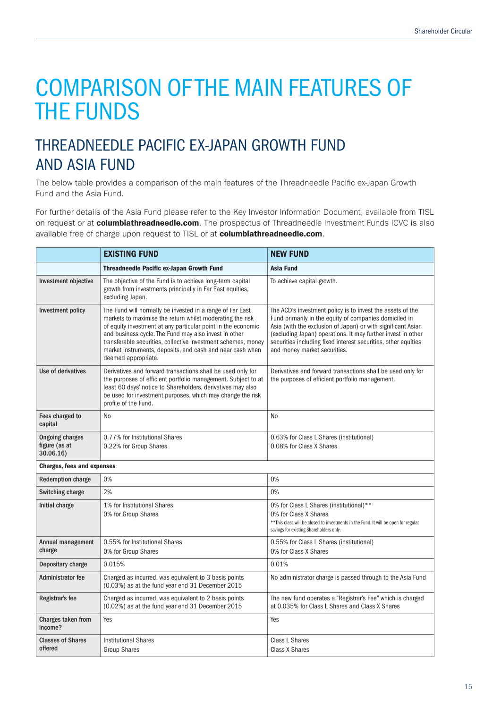## THREADNEEDLE PACIFIC EX-JAPAN GROWTH FUND AND ASIA FUND

The below table provides a comparison of the main features of the Threadneedle Pacific ex-Japan Growth Fund and the Asia Fund.

For further details of the Asia Fund please refer to the Key Investor Information Document, available from TISL on request or at **columbiathreadneedle.com**. The prospectus of Threadneedle Investment Funds ICVC is also available free of charge upon request to TISL or at columbiathreadneedle.com.

|                                                      | <b>EXISTING FUND</b>                                                                                                                                                                                                                                                                                                                                                                                 | <b>NEW FUND</b>                                                                                                                                                                                                                                                                                                                                        |
|------------------------------------------------------|------------------------------------------------------------------------------------------------------------------------------------------------------------------------------------------------------------------------------------------------------------------------------------------------------------------------------------------------------------------------------------------------------|--------------------------------------------------------------------------------------------------------------------------------------------------------------------------------------------------------------------------------------------------------------------------------------------------------------------------------------------------------|
|                                                      | <b>Threadneedle Pacific ex-Japan Growth Fund</b>                                                                                                                                                                                                                                                                                                                                                     | <b>Asia Fund</b>                                                                                                                                                                                                                                                                                                                                       |
| Investment objective                                 | The objective of the Fund is to achieve long-term capital<br>growth from investments principally in Far East equities,<br>excluding Japan.                                                                                                                                                                                                                                                           | To achieve capital growth.                                                                                                                                                                                                                                                                                                                             |
| Investment policy                                    | The Fund will normally be invested in a range of Far East<br>markets to maximise the return whilst moderating the risk<br>of equity investment at any particular point in the economic<br>and business cycle. The Fund may also invest in other<br>transferable securities, collective investment schemes, money<br>market instruments, deposits, and cash and near cash when<br>deemed appropriate. | The ACD's investment policy is to invest the assets of the<br>Fund primarily in the equity of companies domiciled in<br>Asia (with the exclusion of Japan) or with significant Asian<br>(excluding Japan) operations. It may further invest in other<br>securities including fixed interest securities, other equities<br>and money market securities. |
| Use of derivatives                                   | Derivatives and forward transactions shall be used only for<br>the purposes of efficient portfolio management. Subject to at<br>least 60 days' notice to Shareholders, derivatives may also<br>be used for investment purposes, which may change the risk<br>profile of the Fund.                                                                                                                    | Derivatives and forward transactions shall be used only for<br>the purposes of efficient portfolio management.                                                                                                                                                                                                                                         |
| Fees charged to<br>capital                           | No                                                                                                                                                                                                                                                                                                                                                                                                   | N <sub>0</sub>                                                                                                                                                                                                                                                                                                                                         |
| <b>Ongoing charges</b><br>figure (as at<br>30.06.16) | 0.77% for Institutional Shares<br>0.22% for Group Shares                                                                                                                                                                                                                                                                                                                                             | 0.63% for Class L Shares (institutional)<br>0.08% for Class X Shares                                                                                                                                                                                                                                                                                   |
| <b>Charges, fees and expenses</b>                    |                                                                                                                                                                                                                                                                                                                                                                                                      |                                                                                                                                                                                                                                                                                                                                                        |
| <b>Redemption charge</b>                             | 0%                                                                                                                                                                                                                                                                                                                                                                                                   | 0%                                                                                                                                                                                                                                                                                                                                                     |
| <b>Switching charge</b>                              | 2%                                                                                                                                                                                                                                                                                                                                                                                                   | 0%                                                                                                                                                                                                                                                                                                                                                     |
| Initial charge                                       | 1% for Institutional Shares<br>0% for Group Shares                                                                                                                                                                                                                                                                                                                                                   | 0% for Class L Shares (institutional)**<br>0% for Class X Shares<br>** This class will be closed to investments in the Fund. It will be open for regular<br>savings for existing Shareholders only.                                                                                                                                                    |
| Annual management<br>charge                          | 0.55% for Institutional Shares<br>0% for Group Shares                                                                                                                                                                                                                                                                                                                                                | 0.55% for Class L Shares (institutional)<br>0% for Class X Shares                                                                                                                                                                                                                                                                                      |
| Depositary charge                                    | 0.015%                                                                                                                                                                                                                                                                                                                                                                                               | 0.01%                                                                                                                                                                                                                                                                                                                                                  |
| <b>Administrator fee</b>                             | Charged as incurred, was equivalent to 3 basis points<br>(0.03%) as at the fund year end 31 December 2015                                                                                                                                                                                                                                                                                            | No administrator charge is passed through to the Asia Fund                                                                                                                                                                                                                                                                                             |
| Registrar's fee                                      | Charged as incurred, was equivalent to 2 basis points<br>(0.02%) as at the fund year end 31 December 2015                                                                                                                                                                                                                                                                                            | The new fund operates a "Registrar's Fee" which is charged<br>at 0.035% for Class L Shares and Class X Shares                                                                                                                                                                                                                                          |
| Charges taken from<br>income?                        | Yes                                                                                                                                                                                                                                                                                                                                                                                                  | Yes                                                                                                                                                                                                                                                                                                                                                    |
| <b>Classes of Shares</b><br>offered                  | <b>Institutional Shares</b><br><b>Group Shares</b>                                                                                                                                                                                                                                                                                                                                                   | Class L Shares<br>Class X Shares                                                                                                                                                                                                                                                                                                                       |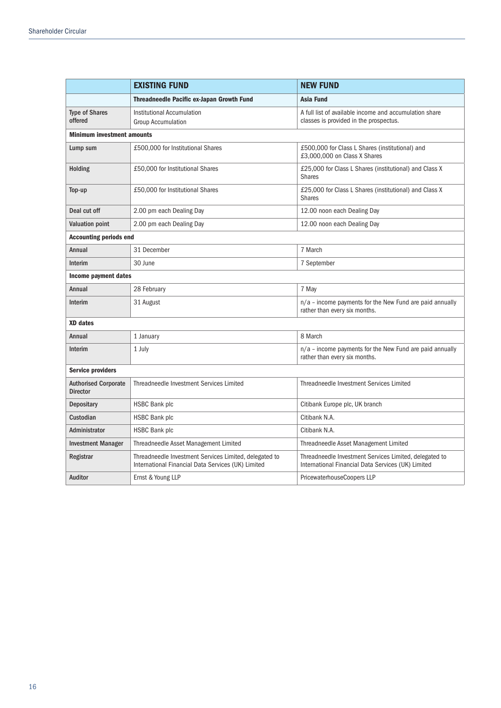|                                                | <b>EXISTING FUND</b>                                                                                         | <b>NEW FUND</b>                                                                                              |  |
|------------------------------------------------|--------------------------------------------------------------------------------------------------------------|--------------------------------------------------------------------------------------------------------------|--|
|                                                | <b>Threadneedle Pacific ex-Japan Growth Fund</b>                                                             | Asia Fund                                                                                                    |  |
| <b>Type of Shares</b><br>offered               | Institutional Accumulation<br><b>Group Accumulation</b>                                                      | A full list of available income and accumulation share<br>classes is provided in the prospectus.             |  |
| <b>Minimum investment amounts</b>              |                                                                                                              |                                                                                                              |  |
| Lump sum                                       | £500,000 for Institutional Shares                                                                            | £500,000 for Class L Shares (institutional) and<br>£3,000,000 on Class X Shares                              |  |
| Holding                                        | £50,000 for Institutional Shares                                                                             | £25,000 for Class L Shares (institutional) and Class X<br><b>Shares</b>                                      |  |
| Top-up                                         | £50,000 for Institutional Shares                                                                             | £25,000 for Class L Shares (institutional) and Class X<br><b>Shares</b>                                      |  |
| Deal cut off                                   | 2.00 pm each Dealing Day                                                                                     | 12.00 noon each Dealing Day                                                                                  |  |
| <b>Valuation point</b>                         | 2.00 pm each Dealing Day                                                                                     | 12.00 noon each Dealing Day                                                                                  |  |
| <b>Accounting periods end</b>                  |                                                                                                              |                                                                                                              |  |
| Annual                                         | 31 December                                                                                                  | 7 March                                                                                                      |  |
| Interim                                        | 30 June                                                                                                      | 7 September                                                                                                  |  |
| Income payment dates                           |                                                                                                              |                                                                                                              |  |
| Annual                                         | 28 February                                                                                                  | 7 May                                                                                                        |  |
| Interim                                        | 31 August                                                                                                    | $n/a$ – income payments for the New Fund are paid annually<br>rather than every six months.                  |  |
| <b>XD</b> dates                                |                                                                                                              |                                                                                                              |  |
| Annual                                         | 1 January                                                                                                    | 8 March                                                                                                      |  |
| Interim                                        | 1 July                                                                                                       | $n/a$ – income payments for the New Fund are paid annually<br>rather than every six months.                  |  |
| <b>Service providers</b>                       |                                                                                                              |                                                                                                              |  |
| <b>Authorised Corporate</b><br><b>Director</b> | Threadneedle Investment Services Limited                                                                     | Threadneedle Investment Services Limited                                                                     |  |
| <b>Depositary</b>                              | <b>HSBC Bank plc</b>                                                                                         | Citibank Europe plc, UK branch                                                                               |  |
| Custodian                                      | <b>HSBC Bank plc</b>                                                                                         | Citibank N.A.                                                                                                |  |
| Administrator                                  | <b>HSBC Bank plc</b>                                                                                         | Citibank N.A.                                                                                                |  |
| <b>Investment Manager</b>                      | Threadneedle Asset Management Limited                                                                        | Threadneedle Asset Management Limited                                                                        |  |
| Registrar                                      | Threadneedle Investment Services Limited, delegated to<br>International Financial Data Services (UK) Limited | Threadneedle Investment Services Limited, delegated to<br>International Financial Data Services (UK) Limited |  |
| Auditor                                        | Ernst & Young LLP                                                                                            | PricewaterhouseCoopers LLP                                                                                   |  |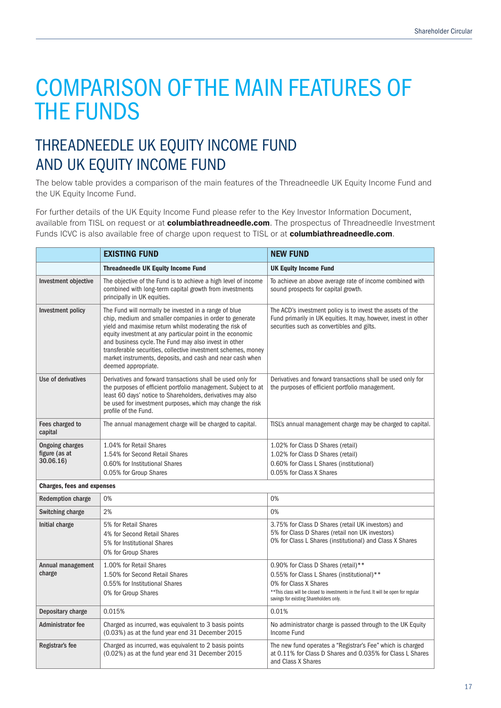## THREADNEEDLE UK EQUITY INCOME FUND AND UK EQUITY INCOME FUND

The below table provides a comparison of the main features of the Threadneedle UK Equity Income Fund and the UK Equity Income Fund.

For further details of the UK Equity Income Fund please refer to the Key Investor Information Document, available from TISL on request or at **columbiathreadneedle.com**. The prospectus of Threadneedle Investment Funds ICVC is also available free of charge upon request to TISL or at columbiathreadneedle.com.

|                                                      | <b>EXISTING FUND</b>                                                                                                                                                                                                                                                                                                                                                                                                                                   | <b>NEW FUND</b>                                                                                                                                                                                                                               |
|------------------------------------------------------|--------------------------------------------------------------------------------------------------------------------------------------------------------------------------------------------------------------------------------------------------------------------------------------------------------------------------------------------------------------------------------------------------------------------------------------------------------|-----------------------------------------------------------------------------------------------------------------------------------------------------------------------------------------------------------------------------------------------|
|                                                      | <b>Threadneedle UK Equity Income Fund</b>                                                                                                                                                                                                                                                                                                                                                                                                              | <b>UK Equity Income Fund</b>                                                                                                                                                                                                                  |
| Investment objective                                 | The objective of the Fund is to achieve a high level of income<br>combined with long-term capital growth from investments<br>principally in UK equities.                                                                                                                                                                                                                                                                                               | To achieve an above average rate of income combined with<br>sound prospects for capital growth.                                                                                                                                               |
| Investment policy                                    | The Fund will normally be invested in a range of blue<br>chip, medium and smaller companies in order to generate<br>yield and maximise return whilst moderating the risk of<br>equity investment at any particular point in the economic<br>and business cycle. The Fund may also invest in other<br>transferable securities, collective investment schemes, money<br>market instruments, deposits, and cash and near cash when<br>deemed appropriate. | The ACD's investment policy is to invest the assets of the<br>Fund primarily in UK equities. It may, however, invest in other<br>securities such as convertibles and gilts.                                                                   |
| Use of derivatives                                   | Derivatives and forward transactions shall be used only for<br>the purposes of efficient portfolio management. Subject to at<br>least 60 days' notice to Shareholders, derivatives may also<br>be used for investment purposes, which may change the risk<br>profile of the Fund.                                                                                                                                                                      | Derivatives and forward transactions shall be used only for<br>the purposes of efficient portfolio management.                                                                                                                                |
| Fees charged to<br>capital                           | The annual management charge will be charged to capital.                                                                                                                                                                                                                                                                                                                                                                                               | TISL's annual management charge may be charged to capital.                                                                                                                                                                                    |
| <b>Ongoing charges</b><br>figure (as at<br>30.06.16) | 1.04% for Retail Shares<br>1.54% for Second Retail Shares<br>0.60% for Institutional Shares<br>0.05% for Group Shares                                                                                                                                                                                                                                                                                                                                  | 1.02% for Class D Shares (retail)<br>1.02% for Class D Shares (retail)<br>0.60% for Class L Shares (institutional)<br>0.05% for Class X Shares                                                                                                |
| <b>Charges, fees and expenses</b>                    |                                                                                                                                                                                                                                                                                                                                                                                                                                                        |                                                                                                                                                                                                                                               |
| <b>Redemption charge</b>                             | 0%                                                                                                                                                                                                                                                                                                                                                                                                                                                     | 0%                                                                                                                                                                                                                                            |
| Switching charge                                     | 2%                                                                                                                                                                                                                                                                                                                                                                                                                                                     | 0%                                                                                                                                                                                                                                            |
| Initial charge                                       | 5% for Retail Shares<br>4% for Second Retail Shares<br>5% for Institutional Shares<br>0% for Group Shares                                                                                                                                                                                                                                                                                                                                              | 3.75% for Class D Shares (retail UK investors) and<br>5% for Class D Shares (retail non UK investors)<br>0% for Class L Shares (institutional) and Class X Shares                                                                             |
| Annual management<br>charge                          | 1.00% for Retail Shares<br>1.50% for Second Retail Shares<br>0.55% for Institutional Shares<br>0% for Group Shares                                                                                                                                                                                                                                                                                                                                     | 0.90% for Class D Shares (retail)**<br>0.55% for Class L Shares (institutional)**<br>0% for Class X Shares<br>** This class will be closed to investments in the Fund. It will be open for regular<br>savings for existing Shareholders only. |
| Depositary charge                                    | 0.015%                                                                                                                                                                                                                                                                                                                                                                                                                                                 | 0.01%                                                                                                                                                                                                                                         |
| Administrator fee                                    | Charged as incurred, was equivalent to 3 basis points<br>(0.03%) as at the fund year end 31 December 2015                                                                                                                                                                                                                                                                                                                                              | No administrator charge is passed through to the UK Equity<br>Income Fund                                                                                                                                                                     |
| Registrar's fee                                      | Charged as incurred, was equivalent to 2 basis points<br>(0.02%) as at the fund year end 31 December 2015                                                                                                                                                                                                                                                                                                                                              | The new fund operates a "Registrar's Fee" which is charged<br>at 0.11% for Class D Shares and 0.035% for Class L Shares<br>and Class X Shares                                                                                                 |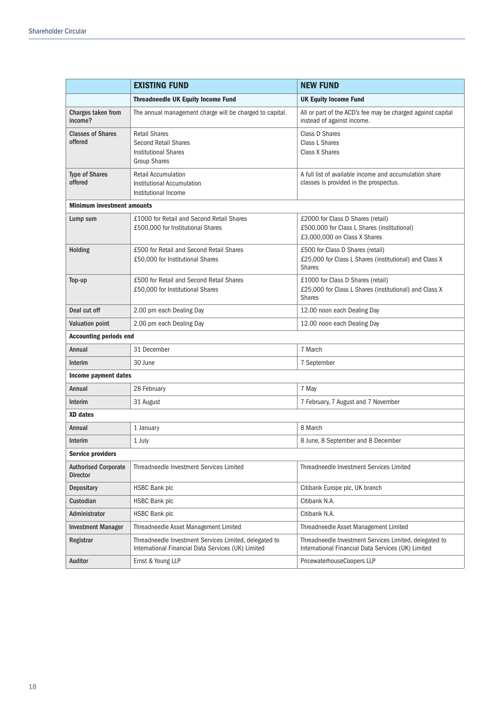|                                                | <b>EXISTING FUND</b>                                                                                         | <b>NEW FUND</b>                                                                                                  |
|------------------------------------------------|--------------------------------------------------------------------------------------------------------------|------------------------------------------------------------------------------------------------------------------|
|                                                | <b>Threadneedle UK Equity Income Fund</b>                                                                    | <b>UK Equity Income Fund</b>                                                                                     |
| Charges taken from<br>income?                  | The annual management charge will be charged to capital.                                                     | All or part of the ACD's fee may be charged against capital<br>instead of against income.                        |
| <b>Classes of Shares</b><br>offered            | <b>Retail Shares</b><br><b>Second Retail Shares</b><br><b>Institutional Shares</b><br><b>Group Shares</b>    | Class D Shares<br>Class L Shares<br>Class X Shares                                                               |
| <b>Type of Shares</b><br>offered               | <b>Retail Accumulation</b><br><b>Institutional Accumulation</b><br>Institutional Income                      | A full list of available income and accumulation share<br>classes is provided in the prospectus.                 |
| <b>Minimum investment amounts</b>              |                                                                                                              |                                                                                                                  |
| Lump sum                                       | £1000 for Retail and Second Retail Shares<br>£500,000 for Institutional Shares                               | £2000 for Class D Shares (retail)<br>£500,000 for Class L Shares (institutional)<br>£3,000,000 on Class X Shares |
| Holding                                        | £500 for Retail and Second Retail Shares<br>£50,000 for Institutional Shares                                 | £500 for Class D Shares (retail)<br>£25,000 for Class L Shares (institutional) and Class X<br><b>Shares</b>      |
| Top-up                                         | £500 for Retail and Second Retail Shares<br>£50,000 for Institutional Shares                                 | £1000 for Class D Shares (retail)<br>£25,000 for Class L Shares (institutional) and Class X<br><b>Shares</b>     |
| Deal cut off                                   | 2.00 pm each Dealing Day                                                                                     | 12.00 noon each Dealing Day                                                                                      |
| <b>Valuation point</b>                         | 2.00 pm each Dealing Day                                                                                     | 12.00 noon each Dealing Day                                                                                      |
| <b>Accounting periods end</b>                  |                                                                                                              |                                                                                                                  |
| Annual                                         | 31 December                                                                                                  | 7 March                                                                                                          |
| Interim                                        | 30 June                                                                                                      | 7 September                                                                                                      |
| Income payment dates                           |                                                                                                              |                                                                                                                  |
| Annual                                         | 28 February                                                                                                  | 7 May                                                                                                            |
| Interim                                        | 31 August                                                                                                    | 7 February, 7 August and 7 November                                                                              |
| <b>XD</b> dates                                |                                                                                                              |                                                                                                                  |
| Annual                                         | 1 January                                                                                                    | 8 March                                                                                                          |
| Interim                                        | 1 July                                                                                                       | 8 June, 8 September and 8 December                                                                               |
| <b>Service providers</b>                       |                                                                                                              |                                                                                                                  |
| <b>Authorised Corporate</b><br><b>Director</b> | Threadneedle Investment Services Limited                                                                     | Threadneedle Investment Services Limited                                                                         |
| <b>Depositary</b>                              | <b>HSBC Bank plc</b>                                                                                         | Citibank Europe plc, UK branch                                                                                   |
| Custodian                                      | <b>HSBC Bank plc</b>                                                                                         | Citibank N.A.                                                                                                    |
| Administrator                                  | <b>HSBC Bank plc</b>                                                                                         | Citibank N.A.                                                                                                    |
| <b>Investment Manager</b>                      | Threadneedle Asset Management Limited                                                                        | Threadneedle Asset Management Limited                                                                            |
| Registrar                                      | Threadneedle Investment Services Limited, delegated to<br>International Financial Data Services (UK) Limited | Threadneedle Investment Services Limited, delegated to<br>International Financial Data Services (UK) Limited     |
| Auditor                                        | Ernst & Young LLP                                                                                            | PricewaterhouseCoopers LLP                                                                                       |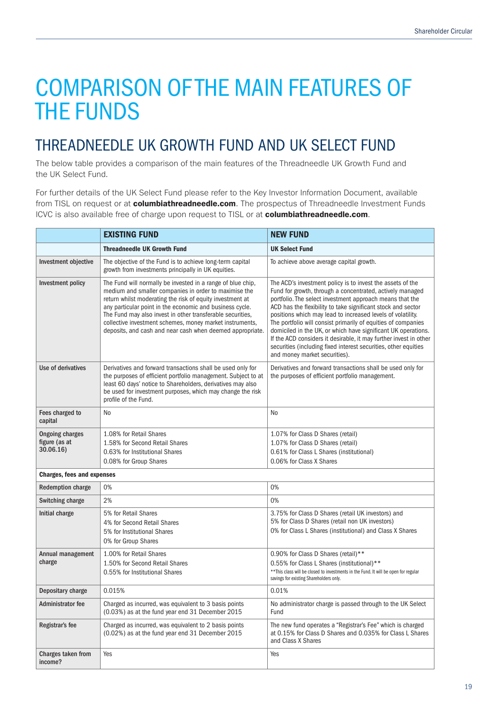## THREADNEEDLE UK GROWTH FUND AND UK SELECT FUND

The below table provides a comparison of the main features of the Threadneedle UK Growth Fund and the UK Select Fund.

For further details of the UK Select Fund please refer to the Key Investor Information Document, available from TISL on request or at **columbiathreadneedle.com**. The prospectus of Threadneedle Investment Funds ICVC is also available free of charge upon request to TISL or at columbiathreadneedle.com.

|                                                     | <b>EXISTING FUND</b><br><b>NEW FUND</b>                                                                                                                                                                                                                                                                                                                                                                                              |                                                                                                                                                                                                                                                                                                                                                                                                                                                                                                                                                                                                                               |
|-----------------------------------------------------|--------------------------------------------------------------------------------------------------------------------------------------------------------------------------------------------------------------------------------------------------------------------------------------------------------------------------------------------------------------------------------------------------------------------------------------|-------------------------------------------------------------------------------------------------------------------------------------------------------------------------------------------------------------------------------------------------------------------------------------------------------------------------------------------------------------------------------------------------------------------------------------------------------------------------------------------------------------------------------------------------------------------------------------------------------------------------------|
|                                                     | <b>Threadneedle UK Growth Fund</b>                                                                                                                                                                                                                                                                                                                                                                                                   | <b>UK Select Fund</b>                                                                                                                                                                                                                                                                                                                                                                                                                                                                                                                                                                                                         |
| Investment objective                                | The objective of the Fund is to achieve long-term capital<br>growth from investments principally in UK equities.                                                                                                                                                                                                                                                                                                                     | To achieve above average capital growth.                                                                                                                                                                                                                                                                                                                                                                                                                                                                                                                                                                                      |
| Investment policy                                   | The Fund will normally be invested in a range of blue chip,<br>medium and smaller companies in order to maximise the<br>return whilst moderating the risk of equity investment at<br>any particular point in the economic and business cycle.<br>The Fund may also invest in other transferable securities,<br>collective investment schemes, money market instruments,<br>deposits, and cash and near cash when deemed appropriate. | The ACD's investment policy is to invest the assets of the<br>Fund for growth, through a concentrated, actively managed<br>portfolio. The select investment approach means that the<br>ACD has the flexibility to take significant stock and sector<br>positions which may lead to increased levels of volatility.<br>The portfolio will consist primarily of equities of companies<br>domiciled in the UK, or which have significant UK operations.<br>If the ACD considers it desirable, it may further invest in other<br>securities (including fixed interest securities, other equities<br>and money market securities). |
| Use of derivatives                                  | Derivatives and forward transactions shall be used only for<br>the purposes of efficient portfolio management. Subject to at<br>least 60 days' notice to Shareholders, derivatives may also<br>be used for investment purposes, which may change the risk<br>profile of the Fund.                                                                                                                                                    | Derivatives and forward transactions shall be used only for<br>the purposes of efficient portfolio management.                                                                                                                                                                                                                                                                                                                                                                                                                                                                                                                |
| Fees charged to<br>capital                          | No                                                                                                                                                                                                                                                                                                                                                                                                                                   | No                                                                                                                                                                                                                                                                                                                                                                                                                                                                                                                                                                                                                            |
| <b>Ongoing charges</b><br>figure (as at<br>30.06.16 | 1.08% for Retail Shares<br>1.58% for Second Retail Shares<br>0.63% for Institutional Shares<br>0.08% for Group Shares                                                                                                                                                                                                                                                                                                                | 1.07% for Class D Shares (retail)<br>1.07% for Class D Shares (retail)<br>0.61% for Class L Shares (institutional)<br>0.06% for Class X Shares                                                                                                                                                                                                                                                                                                                                                                                                                                                                                |
| <b>Charges, fees and expenses</b>                   |                                                                                                                                                                                                                                                                                                                                                                                                                                      |                                                                                                                                                                                                                                                                                                                                                                                                                                                                                                                                                                                                                               |
| <b>Redemption charge</b>                            | 0%                                                                                                                                                                                                                                                                                                                                                                                                                                   | 0%                                                                                                                                                                                                                                                                                                                                                                                                                                                                                                                                                                                                                            |
| Switching charge                                    | 2%                                                                                                                                                                                                                                                                                                                                                                                                                                   | 0%                                                                                                                                                                                                                                                                                                                                                                                                                                                                                                                                                                                                                            |
| Initial charge                                      | 5% for Retail Shares<br>4% for Second Retail Shares<br>5% for Institutional Shares<br>0% for Group Shares                                                                                                                                                                                                                                                                                                                            | 3.75% for Class D Shares (retail UK investors) and<br>5% for Class D Shares (retail non UK investors)<br>0% for Class L Shares (institutional) and Class X Shares                                                                                                                                                                                                                                                                                                                                                                                                                                                             |
| Annual management<br>charge                         | 1.00% for Retail Shares<br>1.50% for Second Retail Shares<br>0.55% for Institutional Shares                                                                                                                                                                                                                                                                                                                                          | 0.90% for Class D Shares (retail)**<br>0.55% for Class L Shares (institutional)**<br>** This class will be closed to investments in the Fund. It will be open for regular<br>savings for existing Shareholders only.                                                                                                                                                                                                                                                                                                                                                                                                          |
| Depositary charge                                   | 0.015%                                                                                                                                                                                                                                                                                                                                                                                                                               | 0.01%                                                                                                                                                                                                                                                                                                                                                                                                                                                                                                                                                                                                                         |
| Administrator fee                                   | Charged as incurred, was equivalent to 3 basis points<br>(0.03%) as at the fund year end 31 December 2015                                                                                                                                                                                                                                                                                                                            | No administrator charge is passed through to the UK Select<br>Fund                                                                                                                                                                                                                                                                                                                                                                                                                                                                                                                                                            |
| Registrar's fee                                     | Charged as incurred, was equivalent to 2 basis points<br>(0.02%) as at the fund year end 31 December 2015                                                                                                                                                                                                                                                                                                                            | The new fund operates a "Registrar's Fee" which is charged<br>at 0.15% for Class D Shares and 0.035% for Class L Shares<br>and Class X Shares                                                                                                                                                                                                                                                                                                                                                                                                                                                                                 |
| Charges taken from<br>income?                       | Yes                                                                                                                                                                                                                                                                                                                                                                                                                                  | Yes                                                                                                                                                                                                                                                                                                                                                                                                                                                                                                                                                                                                                           |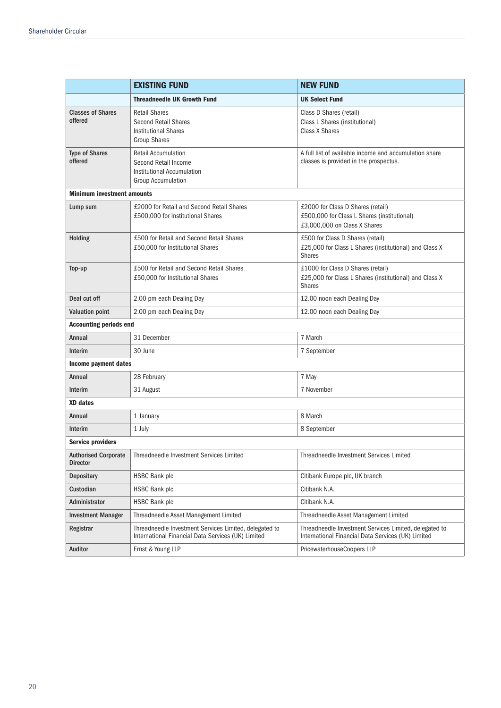|                                     | <b>EXISTING FUND</b>                                                                                          | <b>NEW FUND</b>                                                                                                  |
|-------------------------------------|---------------------------------------------------------------------------------------------------------------|------------------------------------------------------------------------------------------------------------------|
|                                     | <b>Threadneedle UK Growth Fund</b>                                                                            | <b>UK Select Fund</b>                                                                                            |
| <b>Classes of Shares</b><br>offered | <b>Retail Shares</b><br>Second Retail Shares<br><b>Institutional Shares</b><br><b>Group Shares</b>            | Class D Shares (retail)<br>Class L Shares (institutional)<br>Class X Shares                                      |
| <b>Type of Shares</b><br>offered    | <b>Retail Accumulation</b><br>Second Retail Income<br>Institutional Accumulation<br><b>Group Accumulation</b> | A full list of available income and accumulation share<br>classes is provided in the prospectus.                 |
| <b>Minimum investment amounts</b>   |                                                                                                               |                                                                                                                  |
| Lump sum                            | £2000 for Retail and Second Retail Shares<br>£500,000 for Institutional Shares                                | £2000 for Class D Shares (retail)<br>£500,000 for Class L Shares (institutional)<br>£3,000,000 on Class X Shares |
| Holding                             | £500 for Retail and Second Retail Shares<br>£50,000 for Institutional Shares                                  | £500 for Class D Shares (retail)<br>£25,000 for Class L Shares (institutional) and Class X<br><b>Shares</b>      |
| Top-up                              | £500 for Retail and Second Retail Shares<br>£50,000 for Institutional Shares                                  | £1000 for Class D Shares (retail)<br>£25,000 for Class L Shares (institutional) and Class X<br><b>Shares</b>     |
| Deal cut off                        | 2.00 pm each Dealing Day                                                                                      | 12.00 noon each Dealing Day                                                                                      |
| <b>Valuation point</b>              | 2.00 pm each Dealing Day                                                                                      | 12.00 noon each Dealing Day                                                                                      |
| <b>Accounting periods end</b>       |                                                                                                               |                                                                                                                  |
| Annual                              | 31 December                                                                                                   | 7 March                                                                                                          |
| Interim                             | 30 June                                                                                                       | 7 September                                                                                                      |
| Income payment dates                |                                                                                                               |                                                                                                                  |
| Annual                              | 28 February                                                                                                   | 7 May                                                                                                            |
| Interim                             | 31 August                                                                                                     | 7 November                                                                                                       |
| <b>XD</b> dates                     |                                                                                                               |                                                                                                                  |
| Annual                              | 1 January                                                                                                     | 8 March                                                                                                          |
| Interim                             | 1 July                                                                                                        | 8 September                                                                                                      |
| <b>Service providers</b>            |                                                                                                               |                                                                                                                  |
| <b>Director</b>                     | Authorised Corporate   Threadneedle Investment Services Limited                                               | Threadneedle Investment Services Limited                                                                         |
| Depositary                          | <b>HSBC Bank plc</b>                                                                                          | Citibank Europe plc, UK branch                                                                                   |
| Custodian                           | HSBC Bank plc                                                                                                 | Citibank N.A.                                                                                                    |
| Administrator                       | HSBC Bank plc                                                                                                 | Citibank N.A.                                                                                                    |
| <b>Investment Manager</b>           | Threadneedle Asset Management Limited                                                                         | Threadneedle Asset Management Limited                                                                            |
| Registrar                           | Threadneedle Investment Services Limited, delegated to<br>International Financial Data Services (UK) Limited  | Threadneedle Investment Services Limited, delegated to<br>International Financial Data Services (UK) Limited     |
| Auditor                             | Ernst & Young LLP                                                                                             | PricewaterhouseCoopers LLP                                                                                       |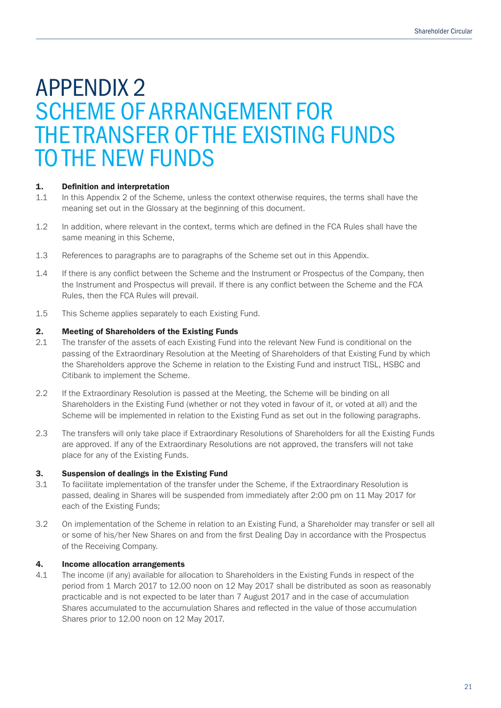## APPENDIX 2 SCHEME OF ARRANGEMENT FOR THE TRANSFER OF THE EXISTING FUNDS TO THE NEW FUNDS

#### 1. Definition and interpretation

- 1.1 In this Appendix 2 of the Scheme, unless the context otherwise requires, the terms shall have the meaning set out in the Glossary at the beginning of this document.
- 1.2 In addition, where relevant in the context, terms which are defined in the FCA Rules shall have the same meaning in this Scheme,
- 1.3 References to paragraphs are to paragraphs of the Scheme set out in this Appendix.
- 1.4 If there is any conflict between the Scheme and the Instrument or Prospectus of the Company, then the Instrument and Prospectus will prevail. If there is any conflict between the Scheme and the FCA Rules, then the FCA Rules will prevail.
- 1.5 This Scheme applies separately to each Existing Fund.

#### 2. Meeting of Shareholders of the Existing Funds

- 2.1 The transfer of the assets of each Existing Fund into the relevant New Fund is conditional on the passing of the Extraordinary Resolution at the Meeting of Shareholders of that Existing Fund by which the Shareholders approve the Scheme in relation to the Existing Fund and instruct TISL, HSBC and Citibank to implement the Scheme.
- 2.2 If the Extraordinary Resolution is passed at the Meeting, the Scheme will be binding on all Shareholders in the Existing Fund (whether or not they voted in favour of it, or voted at all) and the Scheme will be implemented in relation to the Existing Fund as set out in the following paragraphs.
- 2.3 The transfers will only take place if Extraordinary Resolutions of Shareholders for all the Existing Funds are approved. If any of the Extraordinary Resolutions are not approved, the transfers will not take place for any of the Existing Funds.

#### 3. Suspension of dealings in the Existing Fund

- 3.1 To facilitate implementation of the transfer under the Scheme, if the Extraordinary Resolution is passed, dealing in Shares will be suspended from immediately after 2:00 pm on 11 May 2017 for each of the Existing Funds;
- 3.2 On implementation of the Scheme in relation to an Existing Fund, a Shareholder may transfer or sell all or some of his/her New Shares on and from the first Dealing Day in accordance with the Prospectus of the Receiving Company.

#### 4. Income allocation arrangements

4.1 The income (if any) available for allocation to Shareholders in the Existing Funds in respect of the period from 1 March 2017 to 12.00 noon on 12 May 2017 shall be distributed as soon as reasonably practicable and is not expected to be later than 7 August 2017 and in the case of accumulation Shares accumulated to the accumulation Shares and reflected in the value of those accumulation Shares prior to 12.00 noon on 12 May 2017.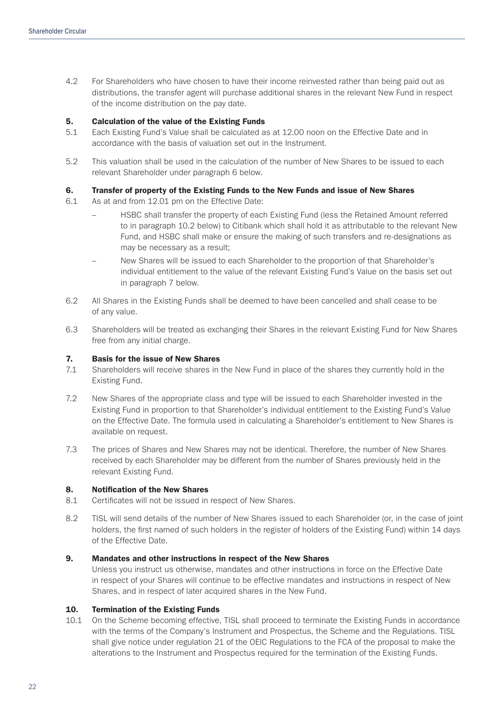4.2 For Shareholders who have chosen to have their income reinvested rather than being paid out as distributions, the transfer agent will purchase additional shares in the relevant New Fund in respect of the income distribution on the pay date.

#### 5. Calculation of the value of the Existing Funds

- 5.1 Each Existing Fund's Value shall be calculated as at 12.00 noon on the Effective Date and in accordance with the basis of valuation set out in the Instrument.
- 5.2 This valuation shall be used in the calculation of the number of New Shares to be issued to each relevant Shareholder under paragraph 6 below.

#### 6. Transfer of property of the Existing Funds to the New Funds and issue of New Shares

- 6.1 As at and from 12.01 pm on the Effective Date:
	- HSBC shall transfer the property of each Existing Fund (less the Retained Amount referred to in paragraph 10.2 below) to Citibank which shall hold it as attributable to the relevant New Fund, and HSBC shall make or ensure the making of such transfers and re-designations as may be necessary as a result;
	- New Shares will be issued to each Shareholder to the proportion of that Shareholder's individual entitlement to the value of the relevant Existing Fund's Value on the basis set out in paragraph 7 below.
- 6.2 All Shares in the Existing Funds shall be deemed to have been cancelled and shall cease to be of any value.
- 6.3 Shareholders will be treated as exchanging their Shares in the relevant Existing Fund for New Shares free from any initial charge.

#### 7. Basis for the issue of New Shares

- 7.1 Shareholders will receive shares in the New Fund in place of the shares they currently hold in the Existing Fund.
- 7.2 New Shares of the appropriate class and type will be issued to each Shareholder invested in the Existing Fund in proportion to that Shareholder's individual entitlement to the Existing Fund's Value on the Effective Date. The formula used in calculating a Shareholder's entitlement to New Shares is available on request.
- 7.3 The prices of Shares and New Shares may not be identical. Therefore, the number of New Shares received by each Shareholder may be different from the number of Shares previously held in the relevant Existing Fund.

#### 8. Notification of the New Shares

- 8.1 Certificates will not be issued in respect of New Shares.
- 8.2 TISL will send details of the number of New Shares issued to each Shareholder (or, in the case of joint holders, the first named of such holders in the register of holders of the Existing Fund) within 14 days of the Effective Date.

#### 9. Mandates and other instructions in respect of the New Shares

Unless you instruct us otherwise, mandates and other instructions in force on the Effective Date in respect of your Shares will continue to be effective mandates and instructions in respect of New Shares, and in respect of later acquired shares in the New Fund.

#### 10. Termination of the Existing Funds

10.1 On the Scheme becoming effective, TISL shall proceed to terminate the Existing Funds in accordance with the terms of the Company's Instrument and Prospectus, the Scheme and the Regulations. TISL shall give notice under regulation 21 of the OEIC Regulations to the FCA of the proposal to make the alterations to the Instrument and Prospectus required for the termination of the Existing Funds.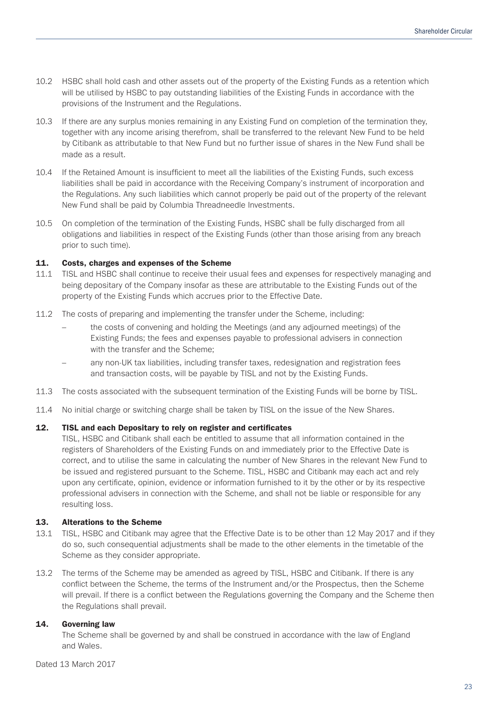- 10.2 HSBC shall hold cash and other assets out of the property of the Existing Funds as a retention which will be utilised by HSBC to pay outstanding liabilities of the Existing Funds in accordance with the provisions of the Instrument and the Regulations.
- 10.3 If there are any surplus monies remaining in any Existing Fund on completion of the termination they, together with any income arising therefrom, shall be transferred to the relevant New Fund to be held by Citibank as attributable to that New Fund but no further issue of shares in the New Fund shall be made as a result.
- 10.4 If the Retained Amount is insufficient to meet all the liabilities of the Existing Funds, such excess liabilities shall be paid in accordance with the Receiving Company's instrument of incorporation and the Regulations. Any such liabilities which cannot properly be paid out of the property of the relevant New Fund shall be paid by Columbia Threadneedle Investments.
- 10.5 On completion of the termination of the Existing Funds, HSBC shall be fully discharged from all obligations and liabilities in respect of the Existing Funds (other than those arising from any breach prior to such time).

#### 11. Costs, charges and expenses of the Scheme

- 11.1 TISL and HSBC shall continue to receive their usual fees and expenses for respectively managing and being depositary of the Company insofar as these are attributable to the Existing Funds out of the property of the Existing Funds which accrues prior to the Effective Date.
- 11.2 The costs of preparing and implementing the transfer under the Scheme, including:
	- the costs of convening and holding the Meetings (and any adjourned meetings) of the Existing Funds; the fees and expenses payable to professional advisers in connection with the transfer and the Scheme;
	- any non-UK tax liabilities, including transfer taxes, redesignation and registration fees and transaction costs, will be payable by TISL and not by the Existing Funds.
- 11.3 The costs associated with the subsequent termination of the Existing Funds will be borne by TISL.
- 11.4 No initial charge or switching charge shall be taken by TISL on the issue of the New Shares.

#### 12. TISL and each Depositary to rely on register and certificates

TISL, HSBC and Citibank shall each be entitled to assume that all information contained in the registers of Shareholders of the Existing Funds on and immediately prior to the Effective Date is correct, and to utilise the same in calculating the number of New Shares in the relevant New Fund to be issued and registered pursuant to the Scheme. TISL, HSBC and Citibank may each act and rely upon any certificate, opinion, evidence or information furnished to it by the other or by its respective professional advisers in connection with the Scheme, and shall not be liable or responsible for any resulting loss.

#### 13. Alterations to the Scheme

- 13.1 TISL, HSBC and Citibank may agree that the Effective Date is to be other than 12 May 2017 and if they do so, such consequential adjustments shall be made to the other elements in the timetable of the Scheme as they consider appropriate.
- 13.2 The terms of the Scheme may be amended as agreed by TISL, HSBC and Citibank. If there is any conflict between the Scheme, the terms of the Instrument and/or the Prospectus, then the Scheme will prevail. If there is a conflict between the Regulations governing the Company and the Scheme then the Regulations shall prevail.

#### 14. Governing law

The Scheme shall be governed by and shall be construed in accordance with the law of England and Wales.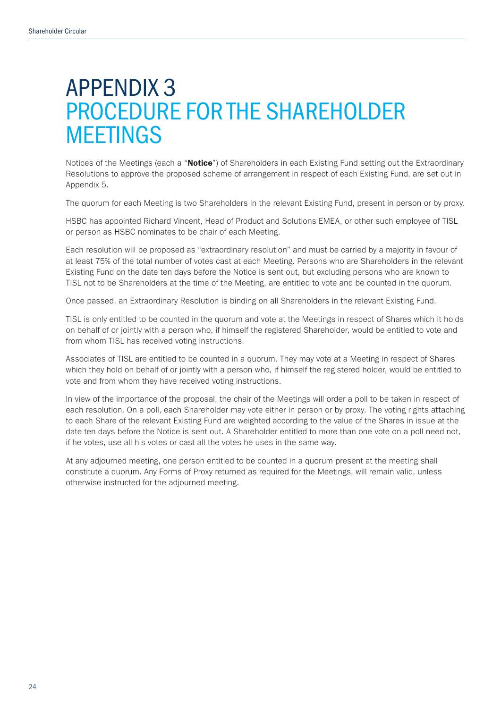## APPENDIX 3 PROCEDURE FOR THE SHAREHOLDER MEETINGS

Notices of the Meetings (each a "Notice") of Shareholders in each Existing Fund setting out the Extraordinary Resolutions to approve the proposed scheme of arrangement in respect of each Existing Fund, are set out in Appendix 5.

The quorum for each Meeting is two Shareholders in the relevant Existing Fund, present in person or by proxy.

HSBC has appointed Richard Vincent, Head of Product and Solutions EMEA, or other such employee of TISL or person as HSBC nominates to be chair of each Meeting.

Each resolution will be proposed as "extraordinary resolution" and must be carried by a majority in favour of at least 75% of the total number of votes cast at each Meeting. Persons who are Shareholders in the relevant Existing Fund on the date ten days before the Notice is sent out, but excluding persons who are known to TISL not to be Shareholders at the time of the Meeting, are entitled to vote and be counted in the quorum.

Once passed, an Extraordinary Resolution is binding on all Shareholders in the relevant Existing Fund.

TISL is only entitled to be counted in the quorum and vote at the Meetings in respect of Shares which it holds on behalf of or jointly with a person who, if himself the registered Shareholder, would be entitled to vote and from whom TISL has received voting instructions.

Associates of TISL are entitled to be counted in a quorum. They may vote at a Meeting in respect of Shares which they hold on behalf of or jointly with a person who, if himself the registered holder, would be entitled to vote and from whom they have received voting instructions.

In view of the importance of the proposal, the chair of the Meetings will order a poll to be taken in respect of each resolution. On a poll, each Shareholder may vote either in person or by proxy. The voting rights attaching to each Share of the relevant Existing Fund are weighted according to the value of the Shares in issue at the date ten days before the Notice is sent out. A Shareholder entitled to more than one vote on a poll need not, if he votes, use all his votes or cast all the votes he uses in the same way.

At any adjourned meeting, one person entitled to be counted in a quorum present at the meeting shall constitute a quorum. Any Forms of Proxy returned as required for the Meetings, will remain valid, unless otherwise instructed for the adjourned meeting.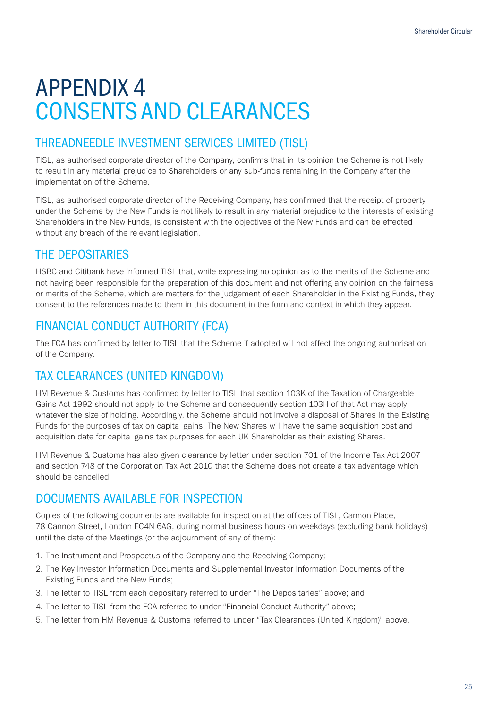# APPENDIX 4 CONSENTS AND CLEARANCES

### THREADNEEDLE INVESTMENT SERVICES LIMITED (TISL)

TISL, as authorised corporate director of the Company, confirms that in its opinion the Scheme is not likely to result in any material prejudice to Shareholders or any sub-funds remaining in the Company after the implementation of the Scheme.

TISL, as authorised corporate director of the Receiving Company, has confirmed that the receipt of property under the Scheme by the New Funds is not likely to result in any material prejudice to the interests of existing Shareholders in the New Funds, is consistent with the objectives of the New Funds and can be effected without any breach of the relevant legislation.

### THE DEPOSITARIES

HSBC and Citibank have informed TISL that, while expressing no opinion as to the merits of the Scheme and not having been responsible for the preparation of this document and not offering any opinion on the fairness or merits of the Scheme, which are matters for the judgement of each Shareholder in the Existing Funds, they consent to the references made to them in this document in the form and context in which they appear.

### FINANCIAL CONDUCT AUTHORITY (FCA)

The FCA has confirmed by letter to TISL that the Scheme if adopted will not affect the ongoing authorisation of the Company.

### TAX CLEARANCES (UNITED KINGDOM)

HM Revenue & Customs has confirmed by letter to TISL that section 103K of the Taxation of Chargeable Gains Act 1992 should not apply to the Scheme and consequently section 103H of that Act may apply whatever the size of holding. Accordingly, the Scheme should not involve a disposal of Shares in the Existing Funds for the purposes of tax on capital gains. The New Shares will have the same acquisition cost and acquisition date for capital gains tax purposes for each UK Shareholder as their existing Shares.

HM Revenue & Customs has also given clearance by letter under section 701 of the Income Tax Act 2007 and section 748 of the Corporation Tax Act 2010 that the Scheme does not create a tax advantage which should be cancelled.

### DOCUMENTS AVAILABLE FOR INSPECTION

Copies of the following documents are available for inspection at the offices of TISL, Cannon Place, 78 Cannon Street, London EC4N 6AG, during normal business hours on weekdays (excluding bank holidays) until the date of the Meetings (or the adjournment of any of them):

- 1. The Instrument and Prospectus of the Company and the Receiving Company;
- 2. The Key Investor Information Documents and Supplemental Investor Information Documents of the Existing Funds and the New Funds;
- 3. The letter to TISL from each depositary referred to under "The Depositaries" above; and
- 4. The letter to TISL from the FCA referred to under "Financial Conduct Authority" above;
- 5. The letter from HM Revenue & Customs referred to under "Tax Clearances (United Kingdom)" above.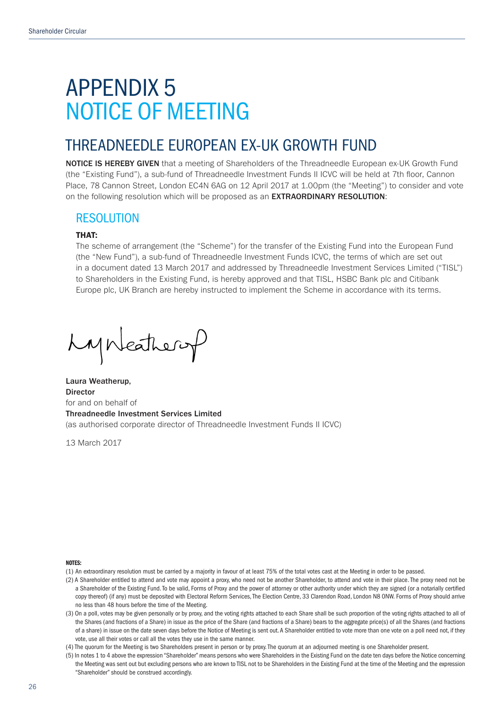## APPENDIX 5 NOTICE OF MEETING

### THREADNEEDLE EUROPEAN EX-UK GROWTH FUND

NOTICE IS HEREBY GIVEN that a meeting of Shareholders of the Threadneedle European ex-UK Growth Fund (the "Existing Fund"), a sub-fund of Threadneedle Investment Funds II ICVC will be held at 7th floor, Cannon Place, 78 Cannon Street, London EC4N 6AG on 12 April 2017 at 1.00pm (the "Meeting") to consider and vote on the following resolution which will be proposed as an EXTRAORDINARY RESOLUTION:

### RESOLUTION

#### THAT:

The scheme of arrangement (the "Scheme") for the transfer of the Existing Fund into the European Fund (the "New Fund"), a sub-fund of Threadneedle Investment Funds ICVC, the terms of which are set out in a document dated 13 March 2017 and addressed by Threadneedle Investment Services Limited ("TISL") to Shareholders in the Existing Fund, is hereby approved and that TISL, HSBC Bank plc and Citibank Europe plc, UK Branch are hereby instructed to implement the Scheme in accordance with its terms.

Lynkathery

Laura Weatherup, Director for and on behalf of Threadneedle Investment Services Limited (as authorised corporate director of Threadneedle Investment Funds II ICVC)

13 March 2017

#### NOTES:

(1) An extraordinary resolution must be carried by a majority in favour of at least 75% of the total votes cast at the Meeting in order to be passed.

- (2) A Shareholder entitled to attend and vote may appoint a proxy, who need not be another Shareholder, to attend and vote in their place. The proxy need not be a Shareholder of the Existing Fund. To be valid, Forms of Proxy and the power of attorney or other authority under which they are signed (or a notarially certified copy thereof) (if any) must be deposited with Electoral Reform Services, The Election Centre, 33 Clarendon Road, London N8 ONW. Forms of Proxy should arrive no less than 48 hours before the time of the Meeting.
- (3) On a poll, votes may be given personally or by proxy, and the voting rights attached to each Share shall be such proportion of the voting rights attached to all of the Shares (and fractions of a Share) in issue as the price of the Share (and fractions of a Share) bears to the aggregate price(s) of all the Shares (and fractions of a share) in issue on the date seven days before the Notice of Meeting is sent out. A Shareholder entitled to vote more than one vote on a poll need not, if they vote, use all their votes or call all the votes they use in the same manner.

(4) The quorum for the Meeting is two Shareholders present in person or by proxy. The quorum at an adjourned meeting is one Shareholder present.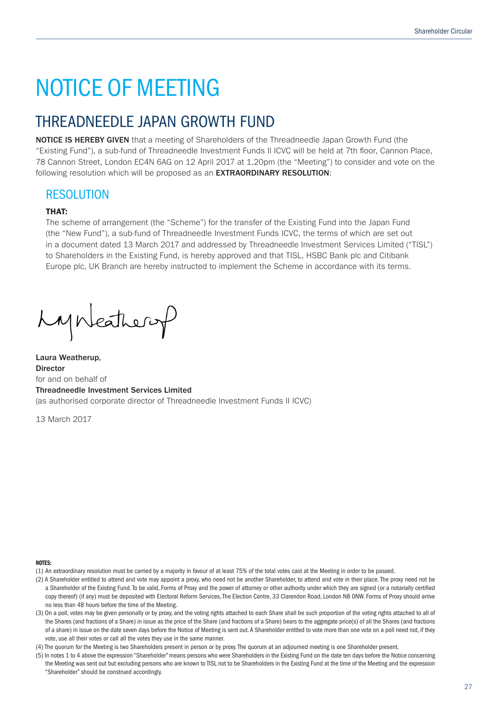## THREADNEEDLE JAPAN GROWTH FUND

NOTICE IS HEREBY GIVEN that a meeting of Shareholders of the Threadneedle Japan Growth Fund (the "Existing Fund"), a sub-fund of Threadneedle Investment Funds II ICVC will be held at 7th floor, Cannon Place, 78 Cannon Street, London EC4N 6AG on 12 April 2017 at 1.20pm (the "Meeting") to consider and vote on the following resolution which will be proposed as an **EXTRAORDINARY RESOLUTION**:

### RESOLUTION

#### THAT:

The scheme of arrangement (the "Scheme") for the transfer of the Existing Fund into the Japan Fund (the "New Fund"), a sub-fund of Threadneedle Investment Funds ICVC, the terms of which are set out in a document dated 13 March 2017 and addressed by Threadneedle Investment Services Limited ("TISL") to Shareholders in the Existing Fund, is hereby approved and that TISL, HSBC Bank plc and Citibank Europe plc, UK Branch are hereby instructed to implement the Scheme in accordance with its terms.

Lynkeathery

Laura Weatherup, Director for and on behalf of Threadneedle Investment Services Limited (as authorised corporate director of Threadneedle Investment Funds II ICVC)

13 March 2017

#### NOTES:

(1) An extraordinary resolution must be carried by a majority in favour of at least 75% of the total votes cast at the Meeting in order to be passed.

- (2) A Shareholder entitled to attend and vote may appoint a proxy, who need not be another Shareholder, to attend and vote in their place. The proxy need not be a Shareholder of the Existing Fund. To be valid, Forms of Proxy and the power of attorney or other authority under which they are signed (or a notarially certified copy thereof) (if any) must be deposited with Electoral Reform Services, The Election Centre, 33 Clarendon Road, London N8 ONW. Forms of Proxy should arrive no less than 48 hours before the time of the Meeting.
- (3) On a poll, votes may be given personally or by proxy, and the voting rights attached to each Share shall be such proportion of the voting rights attached to all of the Shares (and fractions of a Share) in issue as the price of the Share (and fractions of a Share) bears to the aggregate price(s) of all the Shares (and fractions of a share) in issue on the date seven days before the Notice of Meeting is sent out. A Shareholder entitled to vote more than one vote on a poll need not, if they vote, use all their votes or call all the votes they use in the same manner.

(4) The quorum for the Meeting is two Shareholders present in person or by proxy. The quorum at an adjourned meeting is one Shareholder present.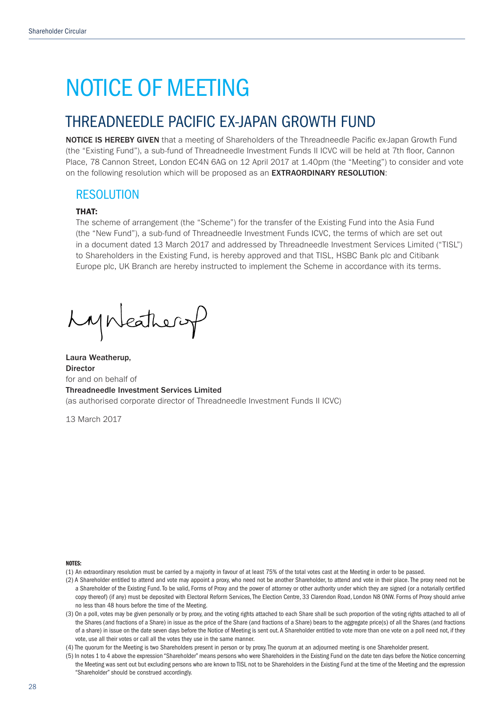### THREADNEEDLE PACIFIC EX-JAPAN GROWTH FUND

NOTICE IS HEREBY GIVEN that a meeting of Shareholders of the Threadneedle Pacific ex-Japan Growth Fund (the "Existing Fund"), a sub-fund of Threadneedle Investment Funds II ICVC will be held at 7th floor, Cannon Place, 78 Cannon Street, London EC4N 6AG on 12 April 2017 at 1.40pm (the "Meeting") to consider and vote on the following resolution which will be proposed as an EXTRAORDINARY RESOLUTION:

### RESOLUTION

#### THAT:

The scheme of arrangement (the "Scheme") for the transfer of the Existing Fund into the Asia Fund (the "New Fund"), a sub-fund of Threadneedle Investment Funds ICVC, the terms of which are set out in a document dated 13 March 2017 and addressed by Threadneedle Investment Services Limited ("TISL") to Shareholders in the Existing Fund, is hereby approved and that TISL, HSBC Bank plc and Citibank Europe plc, UK Branch are hereby instructed to implement the Scheme in accordance with its terms.

Lynkathery

Laura Weatherup, **Director** for and on behalf of Threadneedle Investment Services Limited (as authorised corporate director of Threadneedle Investment Funds II ICVC)

13 March 2017

NOTES:

(1) An extraordinary resolution must be carried by a majority in favour of at least 75% of the total votes cast at the Meeting in order to be passed.

- (2) A Shareholder entitled to attend and vote may appoint a proxy, who need not be another Shareholder, to attend and vote in their place. The proxy need not be a Shareholder of the Existing Fund. To be valid, Forms of Proxy and the power of attorney or other authority under which they are signed (or a notarially certified copy thereof) (if any) must be deposited with Electoral Reform Services, The Election Centre, 33 Clarendon Road, London N8 ONW. Forms of Proxy should arrive no less than 48 hours before the time of the Meeting.
- (3) On a poll, votes may be given personally or by proxy, and the voting rights attached to each Share shall be such proportion of the voting rights attached to all of the Shares (and fractions of a Share) in issue as the price of the Share (and fractions of a Share) bears to the aggregate price(s) of all the Shares (and fractions of a share) in issue on the date seven days before the Notice of Meeting is sent out. A Shareholder entitled to vote more than one vote on a poll need not, if they vote, use all their votes or call all the votes they use in the same manner.

(4) The quorum for the Meeting is two Shareholders present in person or by proxy. The quorum at an adjourned meeting is one Shareholder present.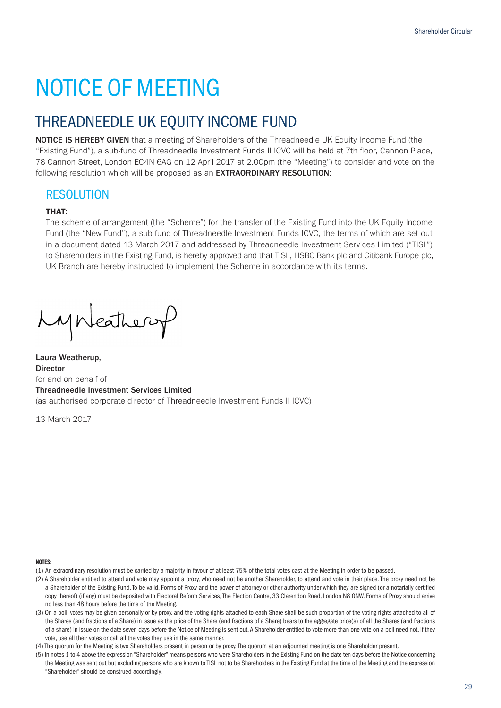## THREADNEEDLE UK EQUITY INCOME FUND

NOTICE IS HEREBY GIVEN that a meeting of Shareholders of the Threadneedle UK Equity Income Fund (the "Existing Fund"), a sub-fund of Threadneedle Investment Funds II ICVC will be held at 7th floor, Cannon Place, 78 Cannon Street, London EC4N 6AG on 12 April 2017 at 2.00pm (the "Meeting") to consider and vote on the following resolution which will be proposed as an **EXTRAORDINARY RESOLUTION**:

### RESOLUTION

#### THAT:

The scheme of arrangement (the "Scheme") for the transfer of the Existing Fund into the UK Equity Income Fund (the "New Fund"), a sub-fund of Threadneedle Investment Funds ICVC, the terms of which are set out in a document dated 13 March 2017 and addressed by Threadneedle Investment Services Limited ("TISL") to Shareholders in the Existing Fund, is hereby approved and that TISL, HSBC Bank plc and Citibank Europe plc, UK Branch are hereby instructed to implement the Scheme in accordance with its terms.

Lynkeathery

Laura Weatherup, Director for and on behalf of Threadneedle Investment Services Limited (as authorised corporate director of Threadneedle Investment Funds II ICVC)

13 March 2017

#### NOTES:

(1) An extraordinary resolution must be carried by a majority in favour of at least 75% of the total votes cast at the Meeting in order to be passed.

- (2) A Shareholder entitled to attend and vote may appoint a proxy, who need not be another Shareholder, to attend and vote in their place. The proxy need not be a Shareholder of the Existing Fund. To be valid, Forms of Proxy and the power of attorney or other authority under which they are signed (or a notarially certified copy thereof) (if any) must be deposited with Electoral Reform Services, The Election Centre, 33 Clarendon Road, London N8 0NW. Forms of Proxy should arrive no less than 48 hours before the time of the Meeting.
- (3) On a poll, votes may be given personally or by proxy, and the voting rights attached to each Share shall be such proportion of the voting rights attached to all of the Shares (and fractions of a Share) in issue as the price of the Share (and fractions of a Share) bears to the aggregate price(s) of all the Shares (and fractions of a share) in issue on the date seven days before the Notice of Meeting is sent out. A Shareholder entitled to vote more than one vote on a poll need not, if they vote, use all their votes or call all the votes they use in the same manner.

(4) The quorum for the Meeting is two Shareholders present in person or by proxy. The quorum at an adjourned meeting is one Shareholder present.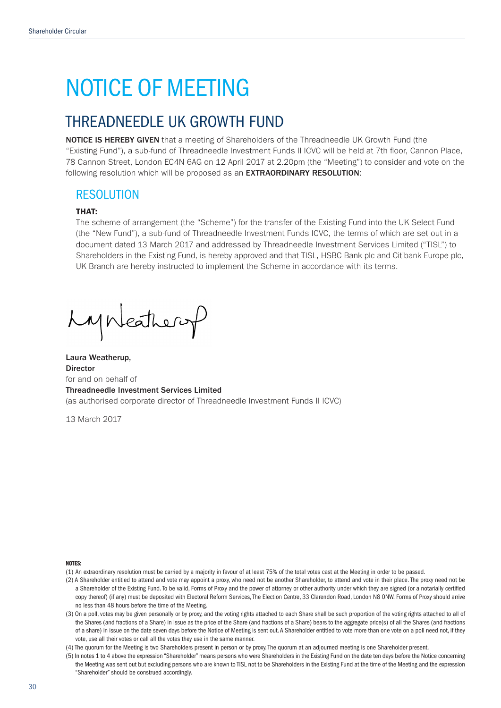### THREADNEEDLE UK GROWTH FUND

NOTICE IS HEREBY GIVEN that a meeting of Shareholders of the Threadneedle UK Growth Fund (the "Existing Fund"), a sub-fund of Threadneedle Investment Funds II ICVC will be held at 7th floor, Cannon Place, 78 Cannon Street, London EC4N 6AG on 12 April 2017 at 2.20pm (the "Meeting") to consider and vote on the following resolution which will be proposed as an **EXTRAORDINARY RESOLUTION**:

### RESOLUTION

#### THAT:

The scheme of arrangement (the "Scheme") for the transfer of the Existing Fund into the UK Select Fund (the "New Fund"), a sub-fund of Threadneedle Investment Funds ICVC, the terms of which are set out in a document dated 13 March 2017 and addressed by Threadneedle Investment Services Limited ("TISL") to Shareholders in the Existing Fund, is hereby approved and that TISL, HSBC Bank plc and Citibank Europe plc, UK Branch are hereby instructed to implement the Scheme in accordance with its terms.

Lynkathery

Laura Weatherup, Director for and on behalf of Threadneedle Investment Services Limited (as authorised corporate director of Threadneedle Investment Funds II ICVC)

13 March 2017

NOTES:

(1) An extraordinary resolution must be carried by a majority in favour of at least 75% of the total votes cast at the Meeting in order to be passed.

- (2) A Shareholder entitled to attend and vote may appoint a proxy, who need not be another Shareholder, to attend and vote in their place. The proxy need not be a Shareholder of the Existing Fund. To be valid, Forms of Proxy and the power of attorney or other authority under which they are signed (or a notarially certified copy thereof) (if any) must be deposited with Electoral Reform Services, The Election Centre, 33 Clarendon Road, London N8 ONW. Forms of Proxy should arrive no less than 48 hours before the time of the Meeting.
- (3) On a poll, votes may be given personally or by proxy, and the voting rights attached to each Share shall be such proportion of the voting rights attached to all of the Shares (and fractions of a Share) in issue as the price of the Share (and fractions of a Share) bears to the aggregate price(s) of all the Shares (and fractions of a share) in issue on the date seven days before the Notice of Meeting is sent out. A Shareholder entitled to vote more than one vote on a poll need not, if they vote, use all their votes or call all the votes they use in the same manner.

(4) The quorum for the Meeting is two Shareholders present in person or by proxy. The quorum at an adjourned meeting is one Shareholder present.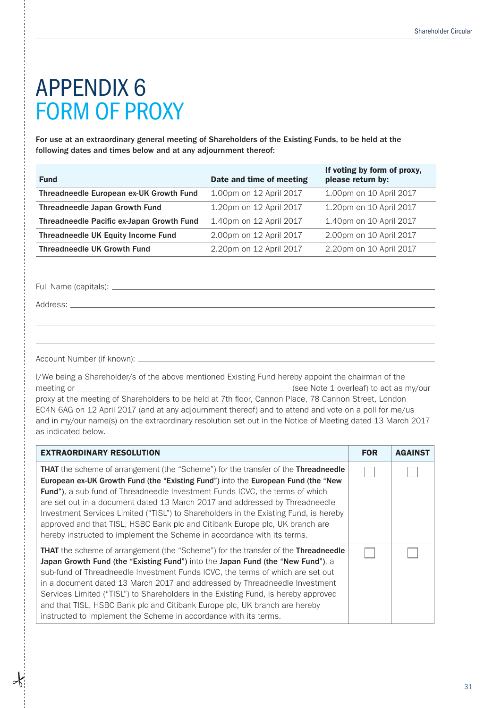# APPENDIX 6 FORM OF PROXY

For use at an extraordinary general meeting of Shareholders of the Existing Funds, to be held at the following dates and times below and at any adjournment thereof:

| <b>Fund</b>                               | Date and time of meeting | If voting by form of proxy,<br>please return by: |
|-------------------------------------------|--------------------------|--------------------------------------------------|
| Threadneedle European ex-UK Growth Fund   | 1.00pm on 12 April 2017  | 1.00pm on 10 April 2017                          |
| Threadneedle Japan Growth Fund            | 1.20pm on 12 April 2017  | 1.20pm on 10 April 2017                          |
| Threadneedle Pacific ex-Japan Growth Fund | 1.40pm on 12 April 2017  | 1.40pm on 10 April 2017                          |
| <b>Threadneedle UK Equity Income Fund</b> | 2.00pm on 12 April 2017  | 2.00pm on 10 April 2017                          |
| <b>Threadneedle UK Growth Fund</b>        | 2.20pm on 12 April 2017  | 2.20pm on 10 April 2017                          |

Full Name (capitals):

Address:  $\_\$ 

Account Number (if known):

I/We being a Shareholder/s of the above mentioned Existing Fund hereby appoint the chairman of the meeting or  $\frac{1}{\sqrt{2\pi}}$  (see Note 1 overleaf) to act as my/our proxy at the meeting of Shareholders to be held at 7th floor, Cannon Place, 78 Cannon Street, London EC4N 6AG on 12 April 2017 (and at any adjournment thereof) and to attend and vote on a poll for me/us and in my/our name(s) on the extraordinary resolution set out in the Notice of Meeting dated 13 March 2017 as indicated below.

| <b>EXTRAORDINARY RESOLUTION</b>                                                                                                                                                                                                                                                                                                                                                                                                                                                                                                                                                                                | <b>FOR</b> | <b>AGAINST</b> |
|----------------------------------------------------------------------------------------------------------------------------------------------------------------------------------------------------------------------------------------------------------------------------------------------------------------------------------------------------------------------------------------------------------------------------------------------------------------------------------------------------------------------------------------------------------------------------------------------------------------|------------|----------------|
| <b>THAT</b> the scheme of arrangement (the "Scheme") for the transfer of the <b>Threadneedle</b><br>European ex-UK Growth Fund (the "Existing Fund") into the European Fund (the "New<br><b>Fund"), a sub-fund of Threadneedle Investment Funds ICVC, the terms of which</b><br>are set out in a document dated 13 March 2017 and addressed by Threadneedle<br>Investment Services Limited ("TISL") to Shareholders in the Existing Fund, is hereby<br>approved and that TISL, HSBC Bank plc and Citibank Europe plc, UK branch are<br>hereby instructed to implement the Scheme in accordance with its terms. |            |                |
| <b>THAT</b> the scheme of arrangement (the "Scheme") for the transfer of the <b>Threadneedle</b><br>Japan Growth Fund (the "Existing Fund") into the Japan Fund (the "New Fund"), a<br>sub-fund of Threadneedle Investment Funds ICVC, the terms of which are set out<br>in a document dated 13 March 2017 and addressed by Threadneedle Investment<br>Services Limited ("TISL") to Shareholders in the Existing Fund, is hereby approved<br>and that TISL, HSBC Bank plc and Citibank Europe plc, UK branch are hereby<br>instructed to implement the Scheme in accordance with its terms.                    |            |                |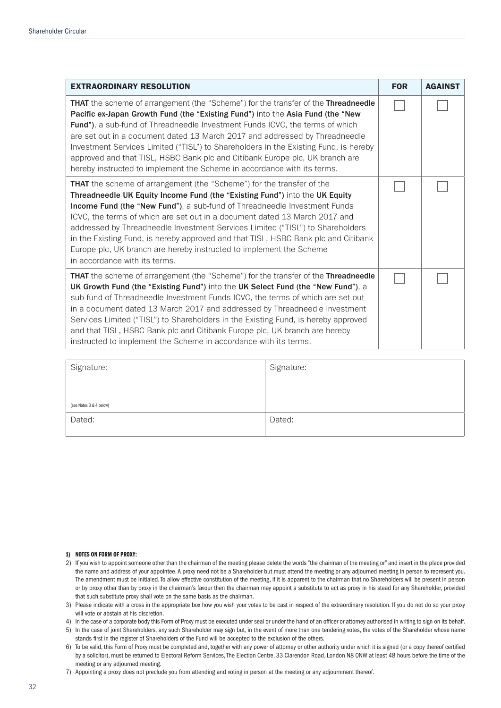| <b>EXTRAORDINARY RESOLUTION</b>                                                                                                                                                                                                                                                                                                                                                                                                                                                                                                                                                                        | <b>FOR</b> | <b>AGAINST</b> |
|--------------------------------------------------------------------------------------------------------------------------------------------------------------------------------------------------------------------------------------------------------------------------------------------------------------------------------------------------------------------------------------------------------------------------------------------------------------------------------------------------------------------------------------------------------------------------------------------------------|------------|----------------|
| <b>THAT</b> the scheme of arrangement (the "Scheme") for the transfer of the <b>Threadneedle</b><br>Pacific ex-Japan Growth Fund (the "Existing Fund") into the Asia Fund (the "New<br>Fund"), a sub-fund of Threadneedle Investment Funds ICVC, the terms of which<br>are set out in a document dated 13 March 2017 and addressed by Threadneedle<br>Investment Services Limited ("TISL") to Shareholders in the Existing Fund, is hereby<br>approved and that TISL, HSBC Bank plc and Citibank Europe plc, UK branch are<br>hereby instructed to implement the Scheme in accordance with its terms.  |            |                |
| <b>THAT</b> the scheme of arrangement (the "Scheme") for the transfer of the<br>Threadneedle UK Equity Income Fund (the "Existing Fund") into the UK Equity<br>Income Fund (the "New Fund"), a sub-fund of Threadneedle Investment Funds<br>ICVC, the terms of which are set out in a document dated 13 March 2017 and<br>addressed by Threadneedle Investment Services Limited ("TISL") to Shareholders<br>in the Existing Fund, is hereby approved and that TISL, HSBC Bank plc and Citibank<br>Europe plc, UK branch are hereby instructed to implement the Scheme<br>in accordance with its terms. |            |                |
| THAT the scheme of arrangement (the "Scheme") for the transfer of the Threadneedle<br>UK Growth Fund (the "Existing Fund") into the UK Select Fund (the "New Fund"), a<br>sub-fund of Threadneedle Investment Funds ICVC, the terms of which are set out<br>in a document dated 13 March 2017 and addressed by Threadneedle Investment<br>Services Limited ("TISL") to Shareholders in the Existing Fund, is hereby approved<br>and that TISL, HSBC Bank plc and Citibank Europe plc, UK branch are hereby<br>instructed to implement the Scheme in accordance with its terms.                         |            |                |

| Signature:              | Signature: |
|-------------------------|------------|
| (see Notes 3 & 4 below) |            |
| Dated:                  | Dated:     |

#### 1) NOTES ON FORM OF PROXY:

- 2) If you wish to appoint someone other than the chairman of the meeting please delete the words "the chairman of the meeting or" and insert in the place provided the name and address of your appointee. A proxy need not be a Shareholder but must attend the meeting or any adjourned meeting in person to represent you. The amendment must be initialed. To allow effective constitution of the meeting, if it is apparent to the chairman that no Shareholders will be present in person or by proxy other than by proxy in the chairman's favour then the chairman may appoint a substitute to act as proxy in his stead for any Shareholder, provided that such substitute proxy shall vote on the same basis as the chairman.
- 3) Please indicate with a cross in the appropriate box how you wish your votes to be cast in respect of the extraordinary resolution. If you do not do so your proxy will vote or abstain at his discretion.
- 4) In the case of a corporate body this Form of Proxy must be executed under seal or under the hand of an officer or attorney authorised in writing to sign on its behalf.
- 5) In the case of joint Shareholders, any such Shareholder may sign but, in the event of more than one tendering votes, the votes of the Shareholder whose name stands first in the register of Shareholders of the Fund will be accepted to the exclusion of the others.
- 6) To be valid, this Form of Proxy must be completed and, together with any power of attorney or other authority under which it is signed (or a copy thereof certified by a solicitor), must be returned to Electoral Reform Services, The Election Centre, 33 Clarendon Road, London N8 0NW at least 48 hours before the time of the meeting or any adjourned meeting.
- 7) Appointing a proxy does not preclude you from attending and voting in person at the meeting or any adjournment thereof.